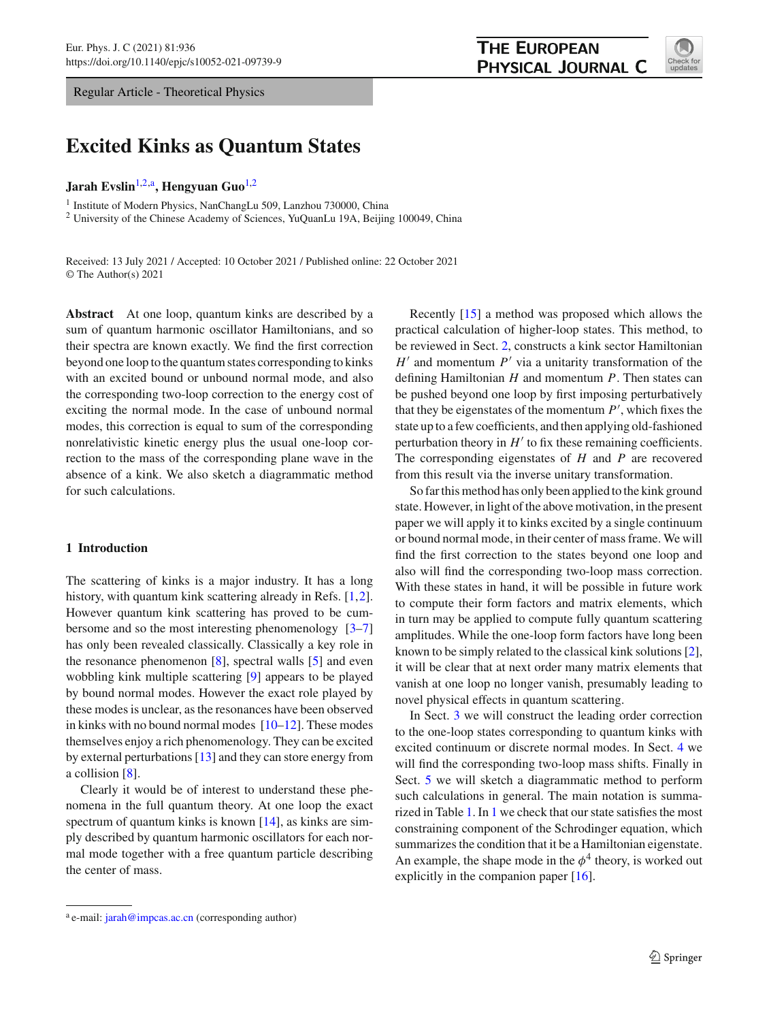Regular Article - Theoretical Physics

# **THE EUROPEAN** PHYSICAL JOURNAL C



**Excited Kinks as Quantum States**

# **Jarah Evslin**[1,2,](#page-0-0)a**, Hengyuan Guo**[1,2](#page-0-0)

<sup>1</sup> Institute of Modern Physics, NanChangLu 509, Lanzhou 730000, China

<sup>2</sup> University of the Chinese Academy of Sciences, YuQuanLu 19A, Beijing 100049, China

Received: 13 July 2021 / Accepted: 10 October 2021 / Published online: 22 October 2021 © The Author(s) 2021

**Abstract** At one loop, quantum kinks are described by a sum of quantum harmonic oscillator Hamiltonians, and so their spectra are known exactly. We find the first correction beyond one loop to the quantum states corresponding to kinks with an excited bound or unbound normal mode, and also the corresponding two-loop correction to the energy cost of exciting the normal mode. In the case of unbound normal modes, this correction is equal to sum of the corresponding nonrelativistic kinetic energy plus the usual one-loop correction to the mass of the corresponding plane wave in the absence of a kink. We also sketch a diagrammatic method for such calculations.

# **1 Introduction**

The scattering of kinks is a major industry. It has a long history, with quantum kink scattering already in Refs. [\[1](#page-13-0)[,2](#page-13-1)]. However quantum kink scattering has proved to be cumbersome and so the most interesting phenomenology [\[3](#page-13-2)[–7\]](#page-14-0) has only been revealed classically. Classically a key role in the resonance phenomenon [\[8\]](#page-14-1), spectral walls [\[5\]](#page-13-3) and even wobbling kink multiple scattering [\[9](#page-14-2)] appears to be played by bound normal modes. However the exact role played by these modes is unclear, as the resonances have been observed in kinks with no bound normal modes  $[10-12]$  $[10-12]$ . These modes themselves enjoy a rich phenomenology. They can be excited by external perturbations [\[13](#page-14-5)] and they can store energy from a collision [\[8](#page-14-1)].

Clearly it would be of interest to understand these phenomena in the full quantum theory. At one loop the exact spectrum of quantum kinks is known [\[14\]](#page-14-6), as kinks are simply described by quantum harmonic oscillators for each normal mode together with a free quantum particle describing the center of mass.

<span id="page-0-0"></span>Recently [\[15](#page-14-7)] a method was proposed which allows the practical calculation of higher-loop states. This method, to be reviewed in Sect. [2,](#page-1-0) constructs a kink sector Hamiltonian  $H'$  and momentum  $P'$  via a unitarity transformation of the defining Hamiltonian *H* and momentum *P*. Then states can be pushed beyond one loop by first imposing perturbatively that they be eigenstates of the momentum  $P'$ , which fixes the state up to a few coefficients, and then applying old-fashioned perturbation theory in  $H'$  to fix these remaining coefficients. The corresponding eigenstates of *H* and *P* are recovered from this result via the inverse unitary transformation.

So far this method has only been applied to the kink ground state. However, in light of the above motivation, in the present paper we will apply it to kinks excited by a single continuum or bound normal mode, in their center of mass frame. We will find the first correction to the states beyond one loop and also will find the corresponding two-loop mass correction. With these states in hand, it will be possible in future work to compute their form factors and matrix elements, which in turn may be applied to compute fully quantum scattering amplitudes. While the one-loop form factors have long been known to be simply related to the classical kink solutions [\[2](#page-13-1)], it will be clear that at next order many matrix elements that vanish at one loop no longer vanish, presumably leading to novel physical effects in quantum scattering.

In Sect. [3](#page-3-0) we will construct the leading order correction to the one-loop states corresponding to quantum kinks with excited continuum or discrete normal modes. In Sect. [4](#page-5-0) we will find the corresponding two-loop mass shifts. Finally in Sect. [5](#page-9-0) we will sketch a diagrammatic method to perform such calculations in general. The main notation is summarized in Table [1.](#page-1-1) In [1](#page-11-0) we check that our state satisfies the most constraining component of the Schrodinger equation, which summarizes the condition that it be a Hamiltonian eigenstate. An example, the shape mode in the  $\phi^4$  theory, is worked out explicitly in the companion paper [\[16\]](#page-14-8).

<sup>&</sup>lt;sup>a</sup> e-mail: [jarah@impcas.ac.cn](mailto:jarah@impcas.ac.cn) (corresponding author)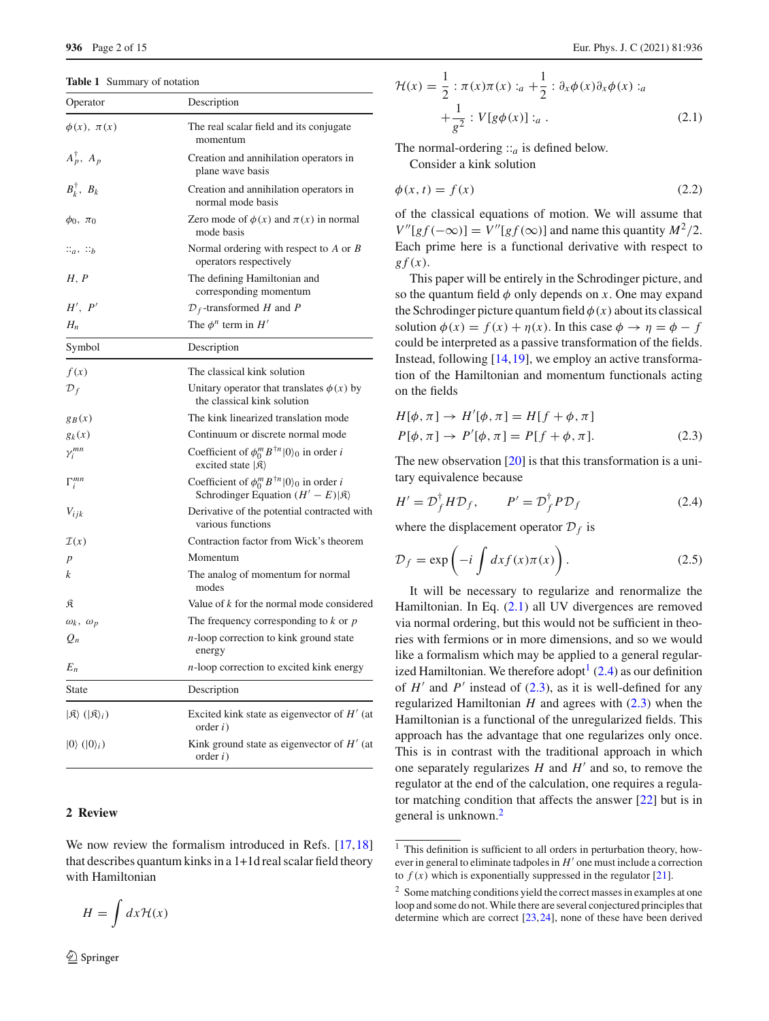<span id="page-1-1"></span>**Table 1** Summary of notation

| Operator                                            | Description                                                                                                                |
|-----------------------------------------------------|----------------------------------------------------------------------------------------------------------------------------|
| $\phi(x), \pi(x)$                                   | The real scalar field and its conjugate<br>momentum                                                                        |
| $A_p^{\dagger}, A_p$                                | Creation and annihilation operators in<br>plane wave basis                                                                 |
| $B_k^{\dagger}, B_k$                                | Creation and annihilation operators in<br>normal mode basis                                                                |
| $\phi_0, \pi_0$                                     | Zero mode of $\phi(x)$ and $\pi(x)$ in normal<br>mode basis                                                                |
| $\ddots_a, \ddots_b$                                | Normal ordering with respect to $A$ or $B$<br>operators respectively                                                       |
| H, P                                                | The defining Hamiltonian and<br>corresponding momentum                                                                     |
| H', P'                                              | $D_f$ -transformed H and P                                                                                                 |
| $H_n$                                               | The $\phi^n$ term in $H'$                                                                                                  |
| Symbol                                              | Description                                                                                                                |
| f(x)                                                | The classical kink solution                                                                                                |
| ${\cal D}_f$                                        | Unitary operator that translates $\phi(x)$ by<br>the classical kink solution                                               |
| $g_B(x)$                                            | The kink linearized translation mode                                                                                       |
| $g_k(x)$                                            | Continuum or discrete normal mode                                                                                          |
| $\gamma_i^{mn}$                                     | Coefficient of $\phi_0^m B^{\dagger n}  0\rangle_0$ in order i<br>excited state $ \mathfrak{K}\rangle$                     |
| $\Gamma_i^{mn}$                                     | Coefficient of $\phi_0^m B^{\dagger n}  0\rangle_0$ in order <i>i</i><br>Schrodinger Equation $(H'-E) \mathfrak{K}\rangle$ |
| $V_{ijk}$                                           | Derivative of the potential contracted with<br>various functions                                                           |
| $\mathcal{I}(x)$                                    | Contraction factor from Wick's theorem                                                                                     |
| $\boldsymbol{p}$                                    | Momentum                                                                                                                   |
| k                                                   | The analog of momentum for normal<br>modes                                                                                 |
| R                                                   | Value of $k$ for the normal mode considered                                                                                |
| $\omega_k$ , $\omega_p$                             | The frequency corresponding to $k$ or $p$                                                                                  |
| $Q_n$                                               | $n$ -loop correction to kink ground state<br>energy                                                                        |
| $E_n$                                               | $n$ -loop correction to excited kink energy                                                                                |
| State                                               | Description                                                                                                                |
| $ \mathfrak{K}\rangle$ ( $ \mathfrak{K}\rangle_i$ ) | Excited kink state as eigenvector of $H'$ (at<br>order i)                                                                  |
| $ 0\rangle$ ( $ 0\rangle_i$ )                       | Kink ground state as eigenvector of $H'$ (at<br>order i)                                                                   |
|                                                     |                                                                                                                            |

#### <span id="page-1-0"></span>**2 Review**

We now review the formalism introduced in Refs. [\[17,](#page-14-9)[18\]](#page-14-10) that describes quantum kinks in a 1+1d real scalar field theory with Hamiltonian

<span id="page-1-2"></span>
$$
H = \int dx \mathcal{H}(x)
$$

$$
\mathcal{H}(x) = \frac{1}{2} : \pi(x)\pi(x) :_{a} + \frac{1}{2} : \partial_{x}\phi(x)\partial_{x}\phi(x) :_{a} + \frac{1}{g^{2}} : V[g\phi(x)] :_{a}.
$$
\n(2.1)

The normal-ordering  $::<sub>a</sub>$  is defined below. Consider a kink solution

$$
\phi(x,t) = f(x) \tag{2.2}
$$

of the classical equations of motion. We will assume that  $V''[gf(-\infty)] = V''[gf(\infty)]$  and name this quantity  $M^2/2$ . Each prime here is a functional derivative with respect to  $g f(x)$ .

This paper will be entirely in the Schrodinger picture, and so the quantum field  $\phi$  only depends on *x*. One may expand the Schrodinger picture quantum field  $\phi(x)$  about its classical solution  $\phi(x) = f(x) + \eta(x)$ . In this case  $\phi \to \eta = \phi - f$ could be interpreted as a passive transformation of the fields. Instead, following [\[14,](#page-14-6)[19\]](#page-14-11), we employ an active transformation of the Hamiltonian and momentum functionals acting on the fields

<span id="page-1-5"></span>
$$
H[\phi, \pi] \rightarrow H'[\phi, \pi] = H[f + \phi, \pi]
$$
  
\n
$$
P[\phi, \pi] \rightarrow P'[\phi, \pi] = P[f + \phi, \pi].
$$
\n(2.3)

The new observation [\[20](#page-14-12)] is that this transformation is a unitary equivalence because

<span id="page-1-4"></span>
$$
H' = \mathcal{D}_f^{\dagger} H \mathcal{D}_f, \qquad P' = \mathcal{D}_f^{\dagger} P \mathcal{D}_f \tag{2.4}
$$

where the displacement operator  $\mathcal{D}_f$  is

$$
\mathcal{D}_f = \exp\left(-i \int dx f(x)\pi(x)\right). \tag{2.5}
$$

It will be necessary to regularize and renormalize the Hamiltonian. In Eq.  $(2.1)$  all UV divergences are removed via normal ordering, but this would not be sufficient in theories with fermions or in more dimensions, and so we would like a formalism which may be applied to a general regularized Hamiltonian. We therefore adopt  $(2.4)$  as our definition of  $H'$  and  $P'$  instead of [\(2.3\)](#page-1-5), as it is well-defined for any regularized Hamiltonian  $H$  and agrees with  $(2.3)$  when the Hamiltonian is a functional of the unregularized fields. This approach has the advantage that one regularizes only once. This is in contrast with the traditional approach in which one separately regularizes  $H$  and  $H'$  and so, to remove the regulator at the end of the calculation, one requires a regulator matching condition that affects the answer [\[22\]](#page-14-13) but is in general is unknown.[2](#page-1-6)

<span id="page-1-3"></span><sup>&</sup>lt;sup>1</sup> This definition is sufficient to all orders in perturbation theory, however in general to eliminate tadpoles in  $H'$  one must include a correction to  $f(x)$  which is exponentially suppressed in the regulator [\[21\]](#page-14-14).

<span id="page-1-6"></span><sup>2</sup> Some matching conditions yield the correct masses in examples at one loop and some do not. While there are several conjectured principles that determine which are correct [\[23](#page-14-15)[,24\]](#page-14-16), none of these have been derived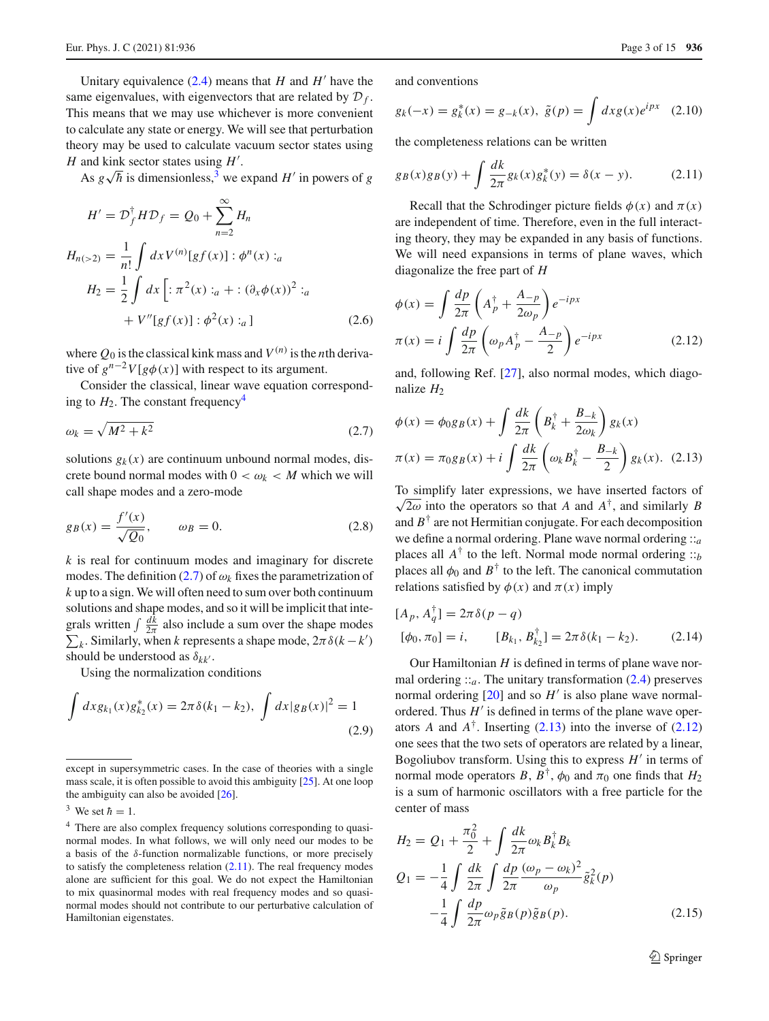Unitary equivalence  $(2.4)$  means that *H* and *H*<sup> $\prime$ </sup> have the same eigenvalues, with eigenvectors that are related by  $\mathcal{D}_f$ . This means that we may use whichever is more convenient to calculate any state or energy. We will see that perturbation theory may be used to calculate vacuum sector states using  $H$  and kink sector states using  $H'$ .

As  $g\sqrt{h}$  is dimensionless,<sup>3</sup> we expand *H*<sup> $\prime$ </sup> in powers of *g* 

$$
H' = \mathcal{D}_f^{\dagger} H \mathcal{D}_f = \mathcal{Q}_0 + \sum_{n=2}^{\infty} H_n
$$
  
\n
$$
H_{n(>2)} = \frac{1}{n!} \int dx \, V^{(n)}[gf(x)] : \phi^n(x) :_a
$$
  
\n
$$
H_2 = \frac{1}{2} \int dx \left[ : \pi^2(x) :_a + : (\partial_x \phi(x))^2 :_a \right]
$$
  
\n
$$
+ V''[gf(x)] : \phi^2(x) :_a \right]
$$
 (2.6)

where  $Q_0$  is the classical kink mass and  $V^{(n)}$  is the *n*th derivative of  $g^{n-2}V[g\phi(x)]$  with respect to its argument.

Consider the classical, linear wave equation corresponding to  $H_2$ . The constant frequency<sup>4</sup>

<span id="page-2-2"></span>
$$
\omega_k = \sqrt{M^2 + k^2} \tag{2.7}
$$

solutions  $g_k(x)$  are continuum unbound normal modes, discrete bound normal modes with  $0 < \omega_k < M$  which we will call shape modes and a zero-mode

$$
g_B(x) = \frac{f'(x)}{\sqrt{Q_0}}, \qquad \omega_B = 0.
$$
 (2.8)

*k* is real for continuum modes and imaginary for discrete modes. The definition  $(2.7)$  of  $\omega_k$  fixes the parametrization of *k* up to a sign. We will often need to sum over both continuum solutions and shape modes, and so it will be implicit that integrals written  $\int \frac{dk}{2\pi}$  also include a sum over the shape modes  $\sum_k$ . Similarly, when *k* represents a shape mode,  $2\pi \delta(k - k')$ should be understood as  $\delta_{kk'}$ .

Using the normalization conditions

$$
\int dx g_{k_1}(x) g_{k_2}^*(x) = 2\pi \delta(k_1 - k_2), \ \int dx |g_B(x)|^2 = 1
$$
\n(2.9)

and conventions

$$
g_k(-x) = g_k^*(x) = g_{-k}(x), \ \tilde{g}(p) = \int dx g(x)e^{ipx} \quad (2.10)
$$

the completeness relations can be written

<span id="page-2-3"></span>
$$
g_B(x)g_B(y) + \int \frac{dk}{2\pi} g_k(x)g_k^*(y) = \delta(x - y). \tag{2.11}
$$

Recall that the Schrodinger picture fields  $\phi(x)$  and  $\pi(x)$ are independent of time. Therefore, even in the full interacting theory, they may be expanded in any basis of functions. We will need expansions in terms of plane waves, which diagonalize the free part of *H*

<span id="page-2-5"></span>
$$
\phi(x) = \int \frac{dp}{2\pi} \left( A_p^{\dagger} + \frac{A_{-p}}{2\omega_p} \right) e^{-ipx}
$$

$$
\pi(x) = i \int \frac{dp}{2\pi} \left( \omega_p A_p^{\dagger} - \frac{A_{-p}}{2} \right) e^{-ipx}
$$
(2.12)

and, following Ref. [\[27\]](#page-14-19), also normal modes, which diagonalize  $H_2$ 

<span id="page-2-4"></span>
$$
\phi(x) = \phi_0 g_B(x) + \int \frac{dk}{2\pi} \left( B_k^{\dagger} + \frac{B_{-k}}{2\omega_k} \right) g_k(x)
$$

$$
\pi(x) = \pi_0 g_B(x) + i \int \frac{dk}{2\pi} \left( \omega_k B_k^{\dagger} - \frac{B_{-k}}{2} \right) g_k(x). \quad (2.13)
$$

To simplify later expressions, we have inserted factors of  $\sqrt{2\omega}$  into the operators so that *A* and *A*<sup>†</sup>, and similarly *B* and  $B^{\dagger}$  are not Hermitian conjugate. For each decomposition we define a normal ordering. Plane wave normal ordering ::*<sup>a</sup>* places all  $A^{\dagger}$  to the left. Normal mode normal ordering  $::<sub>b</sub>$ places all  $\phi_0$  and  $B^{\dagger}$  to the left. The canonical commutation relations satisfied by  $\phi(x)$  and  $\pi(x)$  imply

$$
[A_p, A_q^{\dagger}] = 2\pi \delta(p - q)
$$
  

$$
[\phi_0, \pi_0] = i, \qquad [B_{k_1}, B_{k_2}^{\dagger}] = 2\pi \delta(k_1 - k_2).
$$
 (2.14)

Our Hamiltonian *H* is defined in terms of plane wave normal ordering  $\mathcal{L}_a$ . The unitary transformation [\(2.4\)](#page-1-4) preserves normal ordering  $[20]$  $[20]$  and so  $H'$  is also plane wave normalordered. Thus  $H'$  is defined in terms of the plane wave operators *A* and  $A^{\dagger}$ . Inserting [\(2.13\)](#page-2-4) into the inverse of [\(2.12\)](#page-2-5) one sees that the two sets of operators are related by a linear, Bogoliubov transform. Using this to express  $H'$  in terms of normal mode operators *B*,  $B^{\dagger}$ ,  $\phi_0$  and  $\pi_0$  one finds that  $H_2$ is a sum of harmonic oscillators with a free particle for the center of mass

$$
H_2 = Q_1 + \frac{\pi_0^2}{2} + \int \frac{dk}{2\pi} \omega_k B_k^{\dagger} B_k
$$
  
\n
$$
Q_1 = -\frac{1}{4} \int \frac{dk}{2\pi} \int \frac{dp}{2\pi} \frac{(\omega_p - \omega_k)^2}{\omega_p} \tilde{g}_k^2(p)
$$
  
\n
$$
-\frac{1}{4} \int \frac{dp}{2\pi} \omega_p \tilde{g}_B(p) \tilde{g}_B(p).
$$
 (2.15)

<sup>2</sup> Springer

except in supersymmetric cases. In the case of theories with a single mass scale, it is often possible to avoid this ambiguity [\[25](#page-14-17)]. At one loop the ambiguity can also be avoided [\[26\]](#page-14-18).

<span id="page-2-0"></span><sup>&</sup>lt;sup>3</sup> We set  $\hbar = 1$ .

<span id="page-2-1"></span><sup>4</sup> There are also complex frequency solutions corresponding to quasinormal modes. In what follows, we will only need our modes to be a basis of the  $\delta$ -function normalizable functions, or more precisely to satisfy the completeness relation  $(2.11)$ . The real frequency modes alone are sufficient for this goal. We do not expect the Hamiltonian to mix quasinormal modes with real frequency modes and so quasinormal modes should not contribute to our perturbative calculation of Hamiltonian eigenstates.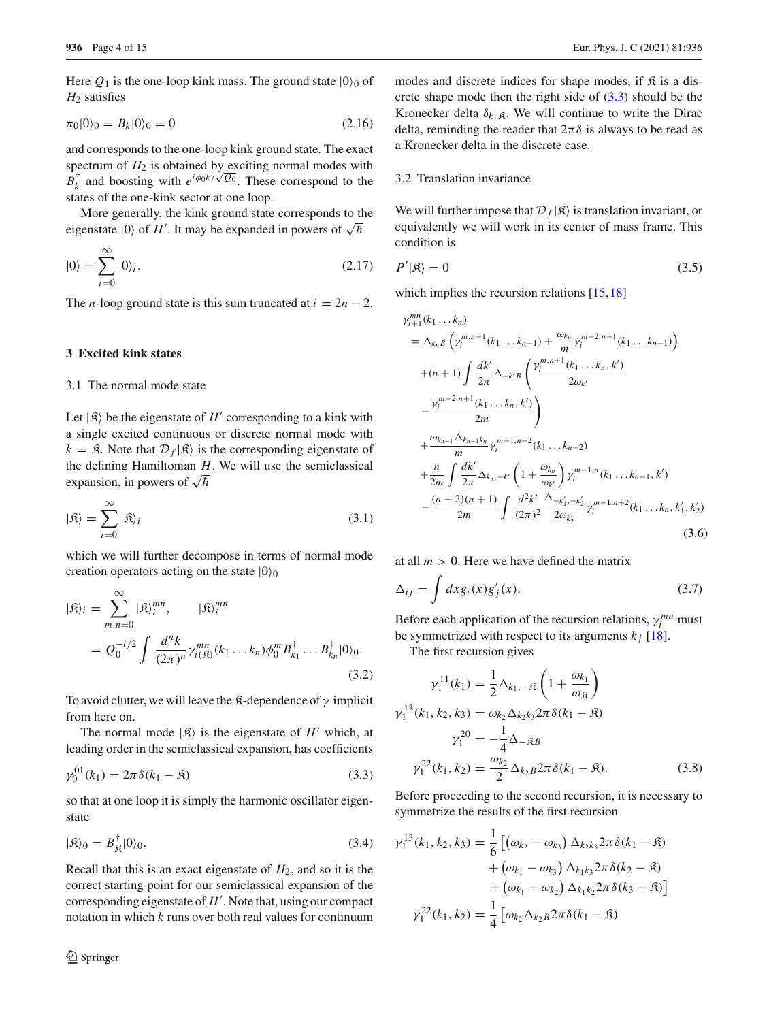Here  $Q_1$  is the one-loop kink mass. The ground state  $|0\rangle_0$  of *H*<sup>2</sup> satisfies

$$
\pi_0|0\rangle_0 = B_k|0\rangle_0 = 0\tag{2.16}
$$

and corresponds to the one-loop kink ground state. The exact spectrum of  $H_2$  is obtained by exciting normal modes with  $B_k^+$  and boosting with  $e^{i\phi_0 k/\sqrt{Q_0}}$ . These correspond to the states of the one-kink sector at one loop.

More generally, the kink ground state corresponds to the eigenstate  $|0\rangle$  of  $H'$ . It may be expanded in powers of  $\sqrt{\hbar}$ 

$$
|0\rangle = \sum_{i=0}^{\infty} |0\rangle_i.
$$
 (2.17)

The *n*-loop ground state is this sum truncated at  $i = 2n - 2$ .

## <span id="page-3-0"></span>**3 Excited kink states**

# 3.1 The normal mode state

Let  $|\mathfrak{K}\rangle$  be the eigenstate of *H*<sup> $\prime$ </sup> corresponding to a kink with a single excited continuous or discrete normal mode with  $k = \mathfrak{K}$ . Note that  $\mathcal{D}_f | \mathfrak{K}$  is the corresponding eigenstate of the defining Hamiltonian *H*. We will use the semiclassical expansion, in powers of  $\sqrt{\hbar}$ 

$$
|\mathfrak{K}\rangle = \sum_{i=0}^{\infty} |\mathfrak{K}\rangle_i
$$
 (3.1)

which we will further decompose in terms of normal mode creation operators acting on the state  $|0\rangle_0$ 

<span id="page-3-2"></span>
$$
|\mathfrak{K}\rangle_i = \sum_{m,n=0}^{\infty} |\mathfrak{K}\rangle_i^{mn}, \qquad |\mathfrak{K}\rangle_i^{mn}
$$
  
=  $Q_0^{-i/2} \int \frac{d^n k}{(2\pi)^n} \gamma_{i(\mathfrak{K})}^{mn} (k_1 \dots k_n) \phi_0^m B_{k_1}^{\dagger} \dots B_{k_n}^{\dagger} |0\rangle_0.$  (3.2)

To avoid clutter, we will leave the  $\mathfrak{K}\text{-}$  dependence of  $\gamma$  implicit from here on.

The normal mode  $|\mathfrak{K}\rangle$  is the eigenstate of  $H'$  which, at leading order in the semiclassical expansion, has coefficients

<span id="page-3-1"></span>
$$
\gamma_0^{01}(k_1) = 2\pi \delta(k_1 - \mathfrak{K})
$$
\n(3.3)

so that at one loop it is simply the harmonic oscillator eigenstate

$$
|\mathfrak{K}\rangle_0 = B_{\mathfrak{K}}^{\dagger}|0\rangle_0. \tag{3.4}
$$

Recall that this is an exact eigenstate of *H*2, and so it is the correct starting point for our semiclassical expansion of the corresponding eigenstate of  $H'$ . Note that, using our compact notation in which *k* runs over both real values for continuum

modes and discrete indices for shape modes, if  $\hat{\mathcal{R}}$  is a discrete shape mode then the right side of  $(3.3)$  should be the Kronecker delta  $\delta_{k_1,\mathfrak{K}}$ . We will continue to write the Dirac delta, reminding the reader that  $2\pi\delta$  is always to be read as a Kronecker delta in the discrete case.

# 3.2 Translation invariance

γ *mn*

We will further impose that  $\mathcal{D}_f |\mathcal{R}$  is translation invariant, or equivalently we will work in its center of mass frame. This condition is

$$
P'|\mathfrak{K}\rangle = 0\tag{3.5}
$$

which implies the recursion relations [\[15](#page-14-7)[,18](#page-14-10)]

<span id="page-3-3"></span>
$$
\gamma_{i+1}^{m} (k_1 \dots k_n)
$$
\n
$$
= \Delta_{k_n} B \left( \gamma_i^{m,n-1} (k_1 \dots k_{n-1}) + \frac{\omega_{k_n}}{m} \gamma_i^{m-2,n-1} (k_1 \dots k_{n-1}) \right)
$$
\n
$$
+ (n+1) \int \frac{dk'}{2\pi} \Delta_{-k'} B \left( \frac{\gamma_i^{m,n+1} (k_1 \dots k_n, k')}{2\omega_{k'}} - \frac{\gamma_i^{m-2,n+1} (k_1 \dots k_n, k')}{2m} \right)
$$
\n
$$
+ \frac{\omega_{k_{n-1}} \Delta_{k_{n-1}k_n}}{m} \gamma_i^{m-1,n-2} (k_1 \dots k_{n-2}) + \frac{n}{2m} \int \frac{dk'}{2\pi} \Delta_{k_n,-k'} \left( 1 + \frac{\omega_{k_n}}{\omega_{k'}} \right) \gamma_i^{m-1,n} (k_1 \dots k_{n-1}, k') - \frac{(n+2)(n+1)}{2m} \int \frac{d^2k'}{(2\pi)^2} \frac{\Delta_{-k'_1,-k'_2}}{2\omega_{k'_2}} \gamma_i^{m-1,n+2} (k_1 \dots k_n, k'_1, k'_2)
$$
\n(3.6)

at all  $m > 0$ . Here we have defined the matrix

$$
\Delta_{ij} = \int dx g_i(x) g'_j(x). \tag{3.7}
$$

Before each application of the recursion relations,  $\gamma_i^{mn}$  must be symmetrized with respect to its arguments  $k_j$  [\[18\]](#page-14-10).

The first recursion gives

$$
\gamma_1^{11}(k_1) = \frac{1}{2} \Delta_{k_1, -\mathfrak{K}} \left( 1 + \frac{\omega_{k_1}}{\omega_{\mathfrak{K}}} \right)
$$
  

$$
\gamma_1^{13}(k_1, k_2, k_3) = \omega_{k_2} \Delta_{k_2 k_3} 2\pi \delta(k_1 - \mathfrak{K})
$$
  

$$
\gamma_1^{20} = -\frac{1}{4} \Delta_{-\mathfrak{K}B}
$$
  

$$
\gamma_1^{22}(k_1, k_2) = \frac{\omega_{k_2}}{2} \Delta_{k_2 B} 2\pi \delta(k_1 - \mathfrak{K}).
$$
 (3.8)

Before proceeding to the second recursion, it is necessary to symmetrize the results of the first recursion

<span id="page-3-4"></span>
$$
\gamma_1^{13}(k_1, k_2, k_3) = \frac{1}{6} \left[ (\omega_{k_2} - \omega_{k_3}) \Delta_{k_2 k_3} 2\pi \delta(k_1 - \mathfrak{K}) + (\omega_{k_1} - \omega_{k_3}) \Delta_{k_1 k_3} 2\pi \delta(k_2 - \mathfrak{K}) + (\omega_{k_1} - \omega_{k_2}) \Delta_{k_1 k_2} 2\pi \delta(k_3 - \mathfrak{K}) \right]
$$

$$
\gamma_1^{22}(k_1, k_2) = \frac{1}{4} \left[ \omega_{k_2} \Delta_{k_2 B} 2\pi \delta(k_1 - \mathfrak{K}) \right]
$$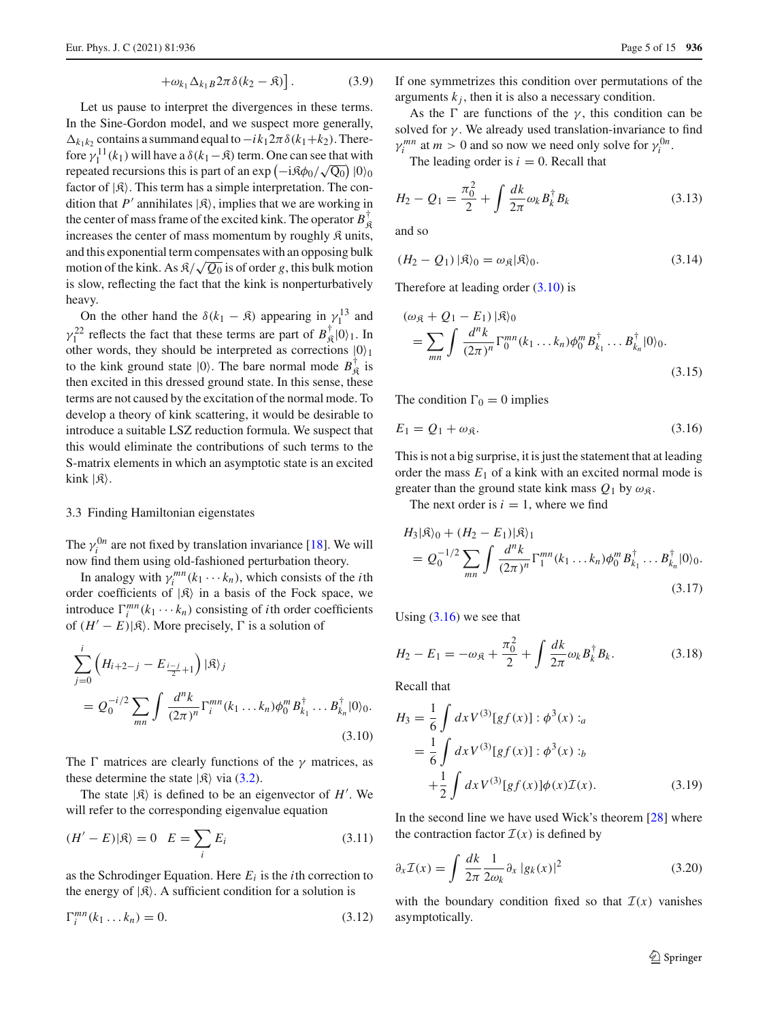$$
+\omega_{k_1}\Delta_{k_1B}2\pi\delta(k_2-\mathfrak{K})\big].\tag{3.9}
$$

Let us pause to interpret the divergences in these terms. In the Sine-Gordon model, and we suspect more generally,  $\Delta_{k_1k_2}$  contains a summand equal to  $-i k_1 2\pi \delta(k_1+k_2)$ . Therefore  $\gamma_1^{11}(k_1)$  will have a  $\delta(k_1-\mathfrak{K})$  term. One can see that with repeated recursions this is part of an exp  $(-i\beta\phi_0/\sqrt{Q_0})$  |0)<sub>0</sub> factor of  $|\mathfrak{K}\rangle$ . This term has a simple interpretation. The condition that *P*<sup> $\prime$ </sup> annihilates  $|\mathfrak{K}\rangle$ , implies that we are working in the center of mass frame of the excited kink. The operator  $B_{\mathfrak{K}}^{\dagger}$ increases the center of mass momentum by roughly  $\mathfrak K$  units, and this exponential term compensates with an opposing bulk motion of the kink. As  $\frac{1}{2}$  is of order *g*, this bulk motion is slow, reflecting the fact that the kink is nonperturbatively heavy.

On the other hand the  $\delta(k_1 - \mathfrak{K})$  appearing in  $\gamma_1^{13}$  and  $\gamma_1^{22}$  reflects the fact that these terms are part of  $B_{\mathfrak{K}}^{\dagger}|0\rangle_1$ . In other words, they should be interpreted as corrections  $|0\rangle_1$ to the kink ground state  $|0\rangle$ . The bare normal mode  $B_{\mathfrak{K}}^{\dagger}$  is then excited in this dressed ground state. In this sense, these terms are not caused by the excitation of the normal mode. To develop a theory of kink scattering, it would be desirable to introduce a suitable LSZ reduction formula. We suspect that this would eliminate the contributions of such terms to the S-matrix elements in which an asymptotic state is an excited kink  $|\mathfrak{K}\rangle$ .

# 3.3 Finding Hamiltonian eigenstates

The  $\gamma_i^{0n}$  are not fixed by translation invariance [\[18](#page-14-10)]. We will now find them using old-fashioned perturbation theory.

In analogy with  $\gamma_i^{mn}(k_1 \cdots k_n)$ , which consists of the *i*th order coefficients of  $|\mathfrak{K}\rangle$  in a basis of the Fock space, we introduce  $\Gamma_i^{mn}(k_1 \cdots k_n)$  consisting of *i*th order coefficients of  $(H'-E)|\mathcal{R}\rangle$ . More precisely,  $\Gamma$  is a solution of

<span id="page-4-0"></span>
$$
\sum_{j=0}^{i} \left( H_{i+2-j} - E_{\frac{i-j}{2}+1} \right) |\mathfrak{K}\rangle_j
$$
  
=  $Q_0^{-i/2} \sum_{mn} \int \frac{d^n k}{(2\pi)^n} \Gamma_i^{mn}(k_1 ... k_n) \phi_0^m B_{k_1}^{\dagger} ... B_{k_n}^{\dagger} |0\rangle_0.$   
(3.10)

The  $\Gamma$  matrices are clearly functions of the  $\gamma$  matrices, as these determine the state  $|\mathfrak{K}\rangle$  via [\(3.2\)](#page-3-2).

The state  $|\mathfrak{K}\rangle$  is defined to be an eigenvector of *H'*. We will refer to the corresponding eigenvalue equation

$$
(H'-E)|\mathfrak{K}\rangle = 0 \quad E = \sum_{i} E_i \tag{3.11}
$$

as the Schrodinger Equation. Here  $E_i$  is the *i*th correction to the energy of  $|\mathfrak{K}\rangle$ . A sufficient condition for a solution is

<span id="page-4-3"></span>
$$
\Gamma_i^{mn}(k_1 \dots k_n) = 0. \tag{3.12}
$$

If one symmetrizes this condition over permutations of the arguments  $k_j$ , then it is also a necessary condition.

As the  $\Gamma$  are functions of the  $\gamma$ , this condition can be solved for  $\gamma$ . We already used translation-invariance to find  $\gamma_i^{mn}$  at  $m > 0$  and so now we need only solve for  $\gamma_i^{0n}$ .

The leading order is  $i = 0$ . Recall that

$$
H_2 - Q_1 = \frac{\pi_0^2}{2} + \int \frac{dk}{2\pi} \omega_k B_k^{\dagger} B_k
$$
 (3.13)

and so

$$
(H_2 - Q_1) |\mathfrak{K}\rangle_0 = \omega_{\mathfrak{K}} |\mathfrak{K}\rangle_0. \tag{3.14}
$$

Therefore at leading order  $(3.10)$  is

$$
(\omega_{\mathfrak{K}} + Q_1 - E_1) | \mathfrak{K} \rangle_0
$$
  
=  $\sum_{mn} \int \frac{d^n k}{(2\pi)^n} \Gamma_0^{mn} (k_1 ... k_n) \phi_0^m B_{k_1}^{\dagger} ... B_{k_n}^{\dagger} | 0 \rangle_0.$  (3.15)

The condition  $\Gamma_0 = 0$  implies

<span id="page-4-1"></span>
$$
E_1 = Q_1 + \omega_{\mathfrak{K}}.\tag{3.16}
$$

This is not a big surprise, it is just the statement that at leading order the mass  $E_1$  of a kink with an excited normal mode is greater than the ground state kink mass  $Q_1$  by  $\omega_{\mathcal{R}}$ .

The next order is  $i = 1$ , where we find

$$
H_3|\mathfrak{K}\rangle_0 + (H_2 - E_1)|\mathfrak{K}\rangle_1
$$
  
=  $Q_0^{-1/2} \sum_{mn} \int \frac{d^n k}{(2\pi)^n} \Gamma_1^{mn}(k_1 ... k_n) \phi_0^m B_{k_1}^{\dagger} ... B_{k_n}^{\dagger}|0\rangle_0.$   
(3.17)

Using  $(3.16)$  we see that

<span id="page-4-2"></span>
$$
H_2 - E_1 = -\omega_{\mathfrak{K}} + \frac{\pi_0^2}{2} + \int \frac{dk}{2\pi} \omega_k B_k^{\dagger} B_k.
$$
 (3.18)

Recall that

$$
H_3 = \frac{1}{6} \int dx V^{(3)}[gf(x)] : \phi^3(x) :_a
$$
  
=  $\frac{1}{6} \int dx V^{(3)}[gf(x)] : \phi^3(x) :_b$   
+  $\frac{1}{2} \int dx V^{(3)}[gf(x)] \phi(x) \mathcal{I}(x).$  (3.19)

In the second line we have used Wick's theorem [\[28](#page-14-20)] where the contraction factor  $\mathcal{I}(x)$  is defined by

$$
\partial_x \mathcal{I}(x) = \int \frac{dk}{2\pi} \frac{1}{2\omega_k} \partial_x |g_k(x)|^2 \tag{3.20}
$$

with the boundary condition fixed so that  $\mathcal{I}(x)$  vanishes asymptotically.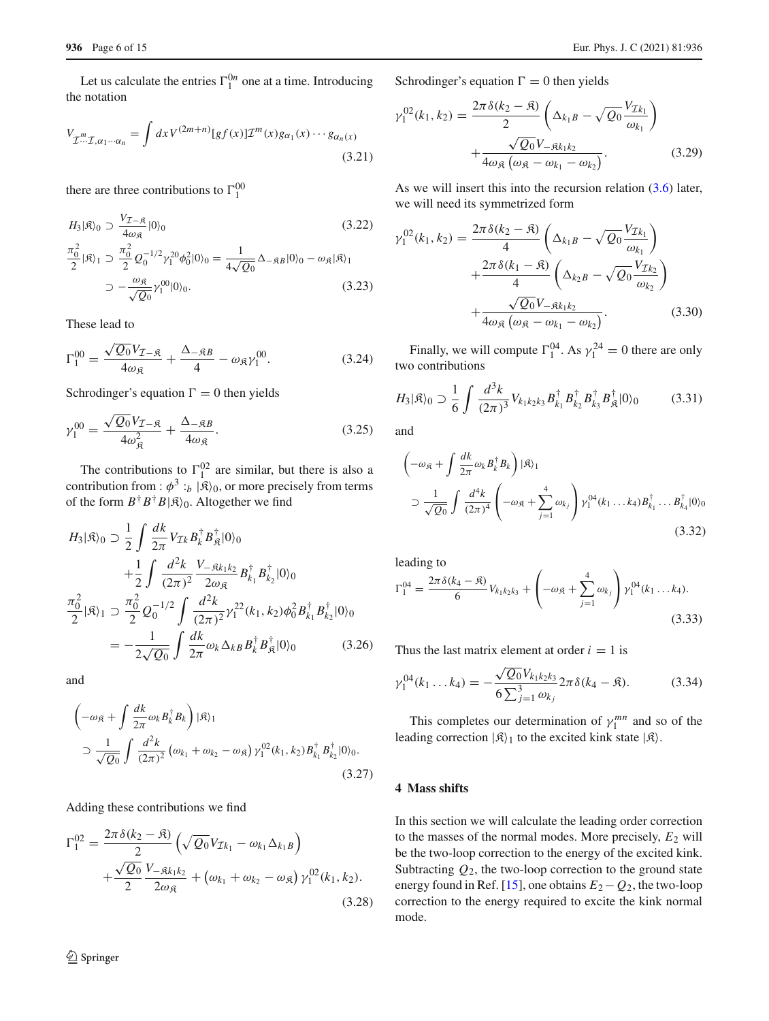Let us calculate the entries  $\Gamma_1^{0n}$  one at a time. Introducing the notation

$$
V_{\mathcal{I}^{m}\mathcal{I},\alpha_{1}\cdots\alpha_{n}} = \int dx V^{(2m+n)}[gf(x)]\mathcal{I}^{m}(x)g_{\alpha_{1}}(x)\cdots g_{\alpha_{n}}(x)
$$
\n(3.21)

there are three contributions to  $\Gamma_1^{00}$ 

$$
H_3|\mathfrak{K}\rangle_0 \supset \frac{V_{\mathcal{I}-\mathfrak{K}}}{4\omega_{\mathfrak{K}}}|0\rangle_0
$$
\n
$$
\frac{\pi_0^2}{2}|\mathfrak{K}\rangle_1 \supset \frac{\pi_0^2}{2}Q_0^{-1/2}\gamma_1^{20}\phi_0^2|0\rangle_0 = \frac{1}{4\sqrt{Q_0}}\Delta_{-\mathfrak{K}B}|0\rangle_0 - \omega_{\mathfrak{K}}|\mathfrak{K}\rangle_1
$$
\n
$$
\supset -\frac{\omega_{\mathfrak{K}}}{\sqrt{Q_0}}\gamma_1^{00}|0\rangle_0.
$$
\n(3.23)

These lead to

$$
\Gamma_1^{00} = \frac{\sqrt{Q_0} V_{\mathcal{I} - \mathfrak{K}}}{4 \omega_{\mathfrak{K}}} + \frac{\Delta_{-\mathfrak{K}B}}{4} - \omega_{\mathfrak{K}} \gamma_1^{00}.
$$
 (3.24)

Schrodinger's equation  $\Gamma = 0$  then yields

$$
\gamma_1^{00} = \frac{\sqrt{Q_0} V_{\mathcal{I}-\mathfrak{K}}}{4\omega_{\mathfrak{K}}^2} + \frac{\Delta_{-\mathfrak{K}B}}{4\omega_{\mathfrak{K}}}.
$$
\n(3.25)

The contributions to  $\Gamma_1^{02}$  are similar, but there is also a contribution from :  $\phi^3$ :<sub>b</sub>  $|\mathfrak{K}\rangle_0$ , or more precisely from terms of the form  $B^{\dagger}B^{\dagger}B|\mathcal{R}\rangle_0$ . Altogether we find

$$
H_3|\mathfrak{K}\rangle_0 \supset \frac{1}{2} \int \frac{dk}{2\pi} V_{\mathcal{I}k} B_k^{\dagger} B_{\mathfrak{K}}^{\dagger} |0\rangle_0
$$
  
+ 
$$
\frac{1}{2} \int \frac{d^2k}{(2\pi)^2} \frac{V_{-\mathfrak{K}k_1k_2}}{2\omega_{\mathfrak{K}}} B_{k_1}^{\dagger} B_{k_2}^{\dagger} |0\rangle_0
$$
  

$$
\frac{\pi_0^2}{2} |\mathfrak{K}\rangle_1 \supset \frac{\pi_0^2}{2} Q_0^{-1/2} \int \frac{d^2k}{(2\pi)^2} \gamma_1^{22}(k_1, k_2) \phi_0^2 B_{k_1}^{\dagger} B_{k_2}^{\dagger} |0\rangle_0
$$
  
= 
$$
-\frac{1}{2\sqrt{Q_0}} \int \frac{dk}{2\pi} \omega_k \Delta_{kB} B_k^{\dagger} B_{\mathfrak{K}}^{\dagger} |0\rangle_0
$$
(3.26)

and

$$
\left(-\omega_{\mathfrak{K}} + \int \frac{dk}{2\pi} \omega_k B_k^{\dagger} B_k\right) |\mathfrak{K}\rangle_1
$$
  
\n
$$
\supset \frac{1}{\sqrt{Q_0}} \int \frac{d^2k}{(2\pi)^2} \left(\omega_{k_1} + \omega_{k_2} - \omega_{\mathfrak{K}}\right) \gamma_1^{02}(k_1, k_2) B_{k_1}^{\dagger} B_{k_2}^{\dagger} |0\rangle_0.
$$
\n(3.27)

Adding these contributions we find

$$
\Gamma_1^{02} = \frac{2\pi \delta (k_2 - \mathfrak{K})}{2} \left( \sqrt{Q_0} V_{\mathcal{I}k_1} - \omega_{k_1} \Delta_{k_1 B} \right) + \frac{\sqrt{Q_0}}{2} \frac{V_{-\mathfrak{K}k_1 k_2}}{2\omega_{\mathfrak{K}}} + \left( \omega_{k_1} + \omega_{k_2} - \omega_{\mathfrak{K}} \right) \gamma_1^{02} (k_1, k_2).
$$
\n(3.28)

Schrodinger's equation  $\Gamma = 0$  then yields

$$
\gamma_1^{02}(k_1, k_2) = \frac{2\pi \delta (k_2 - \mathfrak{K})}{2} \left( \Delta_{k_1 B} - \sqrt{Q_0} \frac{V_{\mathcal{I}k_1}}{\omega_{k_1}} \right) + \frac{\sqrt{Q_0} V_{-\mathfrak{K}k_1 k_2}}{4\omega_{\mathfrak{K}} \left( \omega_{\mathfrak{K}} - \omega_{k_1} - \omega_{k_2} \right)}.
$$
(3.29)

As we will insert this into the recursion relation [\(3.6\)](#page-3-3) later, we will need its symmetrized form

$$
\gamma_1^{02}(k_1, k_2) = \frac{2\pi \delta (k_2 - \Re)}{4} \left( \Delta_{k_1 B} - \sqrt{Q_0} \frac{V_{\mathcal{I}_{k_1}}}{\omega_{k_1}} \right) \n+ \frac{2\pi \delta (k_1 - \Re)}{4} \left( \Delta_{k_2 B} - \sqrt{Q_0} \frac{V_{\mathcal{I}_{k_2}}}{\omega_{k_2}} \right) \n+ \frac{\sqrt{Q_0} V_{-\Re k_1 k_2}}{4 \omega_{\Re} (\omega_{\Re} - \omega_{k_1} - \omega_{k_2})}.
$$
\n(3.30)

Finally, we will compute  $\Gamma_1^{04}$ . As  $\gamma_1^{24} = 0$  there are only two contributions

$$
H_3|\mathfrak{K}\rangle_0 \supset \frac{1}{6} \int \frac{d^3k}{(2\pi)^3} V_{k_1k_2k_3} B_{k_1}^\dagger B_{k_2}^\dagger B_{k_3}^\dagger B_{k_1}^\dagger |0\rangle_0 \tag{3.31}
$$

and

$$
\left(-\omega_{\mathfrak{K}} + \int \frac{dk}{2\pi} \omega_k B_k^{\dagger} B_k\right) |\mathfrak{K}\rangle_1
$$
  
\n
$$
\supset \frac{1}{\sqrt{Q_0}} \int \frac{d^4k}{(2\pi)^4} \left(-\omega_{\mathfrak{K}} + \sum_{j=1}^4 \omega_{kj}\right) \gamma_1^{04}(k_1 \dots k_4) B_{k_1}^{\dagger} \dots B_{k_4}^{\dagger} |0\rangle_0
$$
\n(3.32)

leading to

$$
\Gamma_1^{04} = \frac{2\pi \delta (k_4 - \mathfrak{K})}{6} V_{k_1 k_2 k_3} + \left( -\omega_{\mathfrak{K}} + \sum_{j=1}^4 \omega_{k_j} \right) \gamma_1^{04} (k_1 \dots k_4).
$$
\n(3.33)

Thus the last matrix element at order  $i = 1$  is

$$
\gamma_1^{04}(k_1 \dots k_4) = -\frac{\sqrt{Q_0} V_{k_1 k_2 k_3}}{6 \sum_{j=1}^3 \omega_{k_j}} 2\pi \delta(k_4 - \mathfrak{K}). \tag{3.34}
$$

This completes our determination of  $\gamma_1^{mn}$  and so of the leading correction  $|\mathfrak{K}\rangle_1$  to the excited kink state  $|\mathfrak{K}\rangle$ .

# <span id="page-5-0"></span>**4 Mass shifts**

In this section we will calculate the leading order correction to the masses of the normal modes. More precisely, *E*<sup>2</sup> will be the two-loop correction to the energy of the excited kink. Subtracting *Q*2, the two-loop correction to the ground state energy found in Ref. [\[15\]](#page-14-7), one obtains  $E_2 - Q_2$ , the two-loop correction to the energy required to excite the kink normal mode.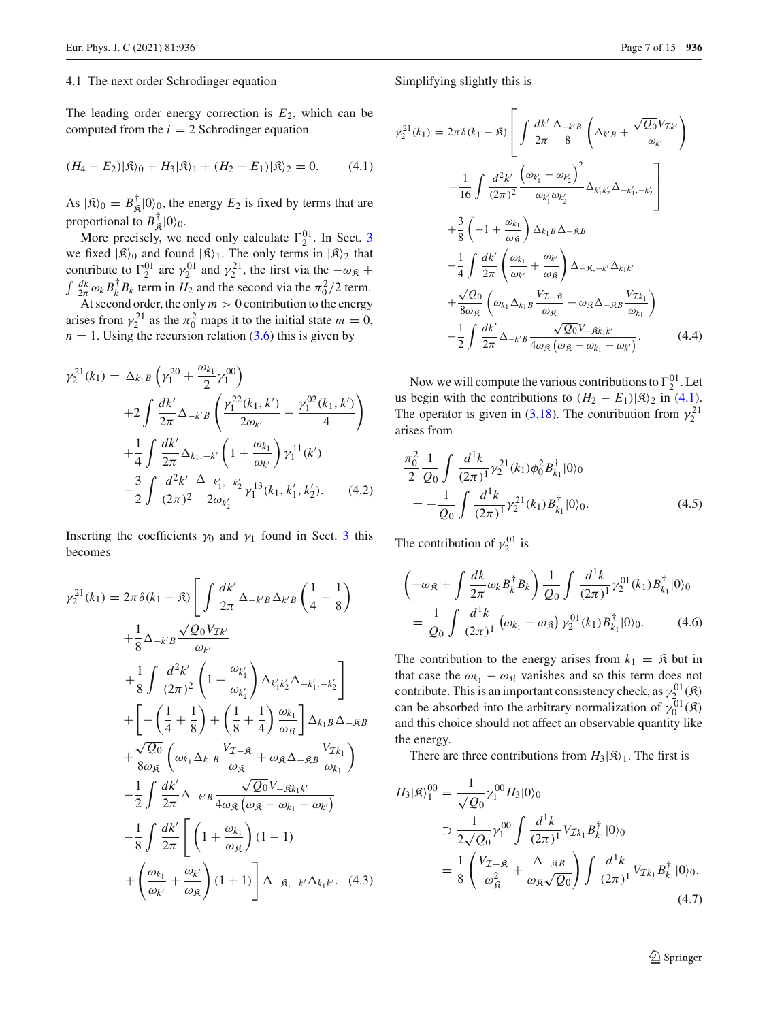#### 4.1 The next order Schrodinger equation

The leading order energy correction is  $E_2$ , which can be computed from the  $i = 2$  Schrodinger equation

<span id="page-6-0"></span>
$$
(H_4 - E_2)|\mathfrak{K}\rangle_0 + H_3|\mathfrak{K}\rangle_1 + (H_2 - E_1)|\mathfrak{K}\rangle_2 = 0.
$$
 (4.1)

As  $|\mathfrak{K}\rangle_0 = B_{\mathfrak{K}}^{\dagger} |0\rangle_0$ , the energy  $E_2$  is fixed by terms that are proportional to  $B_{\mathfrak{K}}^{\dagger}|0\rangle_0$ .

More precisely, we need only calculate  $\Gamma_2^{01}$ . In Sect. [3](#page-3-0) we fixed  $|\mathfrak{K}\rangle_0$  and found  $|\mathfrak{K}\rangle_1$ . The only terms in  $|\mathfrak{K}\rangle_2$  that contribute to  $\Gamma_2^{01}$  are  $\gamma_2^{01}$  and  $\gamma_2^{21}$ , the first via the  $-\omega_{\mathfrak{K}}$  +  $\int \frac{dk}{2\pi} \omega_k B_k^{\dagger} B_k$  term in  $H_2$  and the second via the  $\pi_0^2/2$  term.

At second order, the only  $m > 0$  contribution to the energy arises from  $\gamma_2^{21}$  as the  $\pi_0^2$  maps it to the initial state  $m = 0$ ,  $n = 1$ . Using the recursion relation [\(3.6\)](#page-3-3) this is given by

$$
\gamma_2^{21}(k_1) = \Delta_{k_1B} \left( \gamma_1^{20} + \frac{\omega_{k_1}}{2} \gamma_1^{00} \right)
$$
  
+2  $\int \frac{dk'}{2\pi} \Delta_{-k'B} \left( \frac{\gamma_1^{22}(k_1, k')}{2\omega_{k'}} - \frac{\gamma_1^{02}(k_1, k')}{4} \right)$   
+ $\frac{1}{4} \int \frac{dk'}{2\pi} \Delta_{k_1, -k'} \left( 1 + \frac{\omega_{k_1}}{\omega_{k'}} \right) \gamma_1^{11}(k')$   
- $\frac{3}{2} \int \frac{d^2k'}{(2\pi)^2} \frac{\Delta_{-k'_1, -k'_2}}{2\omega_{k'_2}} \gamma_1^{13}(k_1, k'_1, k'_2).$  (4.2)

Inserting the coefficients  $\gamma_0$  and  $\gamma_1$  found in Sect. [3](#page-3-0) this becomes

$$
\gamma_2^{21}(k_1) = 2\pi \delta(k_1 - \mathfrak{K}) \left[ \int \frac{dk'}{2\pi} \Delta_{-k'B} \Delta_{k'B} \left( \frac{1}{4} - \frac{1}{8} \right) \right.
$$
  
\n
$$
+ \frac{1}{8} \Delta_{-k'B} \frac{\sqrt{Q_0} V_{\mathcal{I}k'}}{\omega_{k'}}
$$
  
\n
$$
+ \frac{1}{8} \int \frac{d^2 k'}{(2\pi)^2} \left( 1 - \frac{\omega_{k'_1}}{\omega_{k'_2}} \right) \Delta_{k'_1 k'_2} \Delta_{-k'_1, -k'_2}
$$
  
\n
$$
+ \left[ -\left( \frac{1}{4} + \frac{1}{8} \right) + \left( \frac{1}{8} + \frac{1}{4} \right) \frac{\omega_{k_1}}{\omega_{\mathfrak{K}}} \right] \Delta_{k_1 B} \Delta_{- \mathfrak{K}B}
$$
  
\n
$$
+ \frac{\sqrt{Q_0}}{8\omega_{\mathfrak{K}}} \left( \omega_{k_1} \Delta_{k_1 B} \frac{V_{\mathcal{I} - \mathfrak{K}}}{\omega_{\mathfrak{K}}} + \omega_{\mathfrak{K}} \Delta_{- \mathfrak{K}B} \frac{V_{\mathcal{I}k_1}}{\omega_{k_1}} \right)
$$
  
\n
$$
- \frac{1}{2} \int \frac{dk'}{2\pi} \Delta_{-k'B} \frac{\sqrt{Q_0} V_{-\mathfrak{K}k_1 k'}}{4\omega_{\mathfrak{K}}} \left( \omega_{\mathfrak{K}} - \omega_{k_1} - \omega_{k'} \right)
$$
  
\n
$$
- \frac{1}{8} \int \frac{dk'}{2\pi} \left[ \left( 1 + \frac{\omega_{k_1}}{\omega_{\mathfrak{K}}} \right) (1 - 1)
$$
  
\n
$$
+ \left( \frac{\omega_{k_1}}{\omega_{k'}} + \frac{\omega_{k'}}{\omega_{\mathfrak{K}}} \right) (1 + 1) \right] \Delta_{- \mathfrak{K}, -k'} \Delta_{k_1 k'}.
$$
(4.3)

Simplifying slightly this is

$$
\gamma_2^{21}(k_1) = 2\pi \delta(k_1 - \mathfrak{K}) \left[ \int \frac{dk'}{2\pi} \frac{\Delta_{-k'B}}{8} \left( \Delta_{k'B} + \frac{\sqrt{Q_0} V_{\mathcal{I}_{k'}}}{\omega_{k'}} \right) \right.
$$

$$
- \frac{1}{16} \int \frac{d^2 k'}{(2\pi)^2} \frac{\left( \omega_{k'_1} - \omega_{k'_2} \right)^2}{\omega_{k'_1} \omega_{k'_2}} \Delta_{k'_1 k'_2} \Delta_{-k'_1, -k'_2}
$$

$$
+ \frac{3}{8} \left( -1 + \frac{\omega_{k_1}}{\omega_{\mathfrak{K}}} \right) \Delta_{k_1 B} \Delta_{- \mathfrak{K} B}
$$

$$
- \frac{1}{4} \int \frac{dk'}{2\pi} \left( \frac{\omega_{k_1}}{\omega_{k'}} + \frac{\omega_{k'}}{\omega_{\mathfrak{K}}} \right) \Delta_{- \mathfrak{K}, -k'} \Delta_{k_1 k'}
$$

$$
+ \frac{\sqrt{Q_0}}{8 \omega_{\mathfrak{K}}} \left( \omega_{k_1} \Delta_{k_1 B} \frac{V_{\mathcal{I} - \mathfrak{K}}}{\omega_{\mathfrak{K}}} + \omega_{\mathfrak{K}} \Delta_{- \mathfrak{K} B} \frac{V_{\mathcal{I}_{k_1}}}{\omega_{k_1}} \right)
$$

$$
- \frac{1}{2} \int \frac{dk'}{2\pi} \Delta_{-k'B} \frac{\sqrt{Q_0} V_{- \mathfrak{K} k_1 k'}}{\omega_{\mathfrak{K}}} \frac{\sqrt{Q_0} V_{- \mathfrak{K} k_1 k'}}{\omega_{\mathfrak{K}} - \omega_{k_1} - \omega_{k'}}.
$$
(4.4)

Now we will compute the various contributions to  $\Gamma_2^{01}$ . Let us begin with the contributions to  $(H_2 - E_1)|\mathfrak{K}\rangle_2$  in [\(4.1\)](#page-6-0). The operator is given in [\(3.18\)](#page-4-2). The contribution from  $\gamma_2^{21}$ arises from

$$
\frac{\pi_0^2}{2} \frac{1}{Q_0} \int \frac{d^1k}{(2\pi)^1} \gamma_2^{21}(k_1) \phi_0^2 B_{k_1}^{\dagger} |0\rangle_0
$$
  
= 
$$
-\frac{1}{Q_0} \int \frac{d^1k}{(2\pi)^1} \gamma_2^{21}(k_1) B_{k_1}^{\dagger} |0\rangle_0.
$$
 (4.5)

The contribution of  $\gamma_2^{01}$  is

$$
\left(-\omega_{\mathfrak{K}} + \int \frac{dk}{2\pi} \omega_k B_k^{\dagger} B_k\right) \frac{1}{Q_0} \int \frac{d^1k}{(2\pi)^1} \gamma_2^{01}(k_1) B_{k_1}^{\dagger} |0\rangle_0
$$

$$
= \frac{1}{Q_0} \int \frac{d^1k}{(2\pi)^1} \left(\omega_{k_1} - \omega_{\mathfrak{K}}\right) \gamma_2^{01}(k_1) B_{k_1}^{\dagger} |0\rangle_0. \tag{4.6}
$$

The contribution to the energy arises from  $k_1 = \mathfrak{K}$  but in that case the  $\omega_{k_1} - \omega_{\mathfrak{K}}$  vanishes and so this term does not contribute. This is an important consistency check, as  $\gamma_{2}^{01}(\mathfrak{K})$ can be absorbed into the arbitrary normalization of  $\gamma_0^{01}(\mathfrak{K})$ and this choice should not affect an observable quantity like the energy.

There are three contributions from  $H_3|\mathcal{R}\rangle_1$ . The first is

$$
H_3|\mathfrak{K}\rangle_1^{00} = \frac{1}{\sqrt{Q_0}} \gamma_1^{00} H_3|0\rangle_0
$$
  
\n
$$
\supset \frac{1}{2\sqrt{Q_0}} \gamma_1^{00} \int \frac{d^1k}{(2\pi)^1} V_{\mathcal{I}k_1} B_{k_1}^{\dagger} |0\rangle_0
$$
  
\n
$$
= \frac{1}{8} \left( \frac{V_{\mathcal{I}-\mathfrak{K}}}{\omega_{\mathfrak{K}}^2} + \frac{\Delta_{-\mathfrak{K}B}}{\omega_{\mathfrak{K}}\sqrt{Q_0}} \right) \int \frac{d^1k}{(2\pi)^1} V_{\mathcal{I}k_1} B_{k_1}^{\dagger} |0\rangle_0.
$$
  
\n(4.7)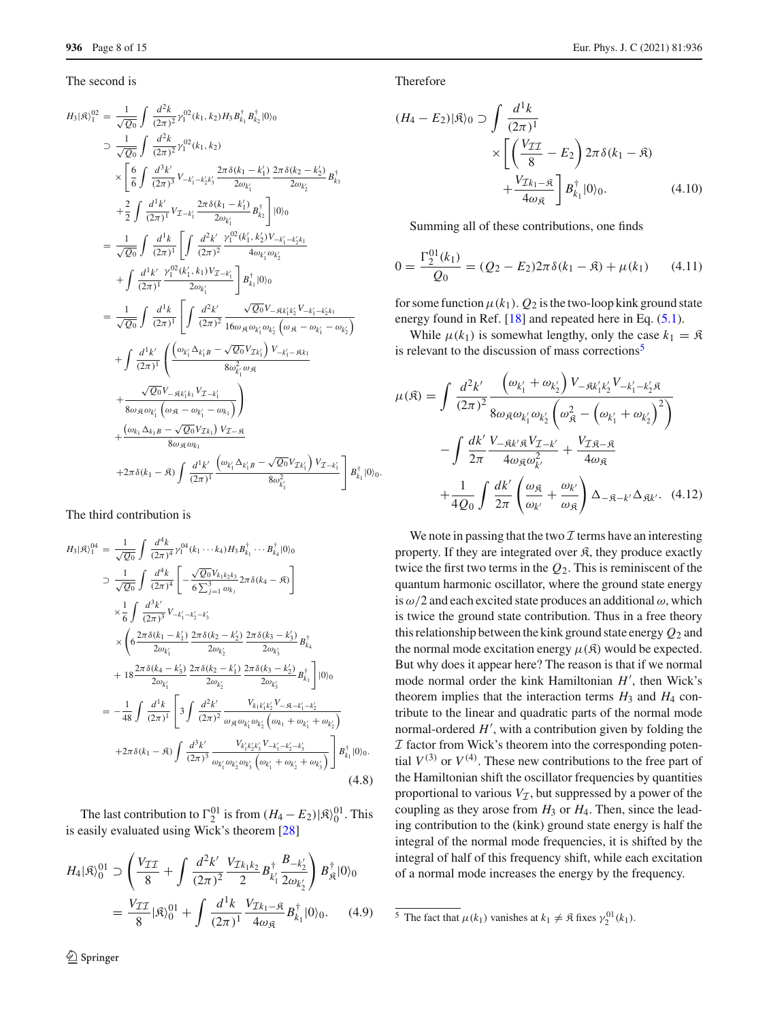#### The second is

$$
H_{3}|\mathfrak{R}\rangle_{1}^{02} = \frac{1}{\sqrt{Q_{0}}} \int \frac{d^{2}k}{(2\pi)^{2}} \gamma_{1}^{02}(k_{1},k_{2}) H_{3} B_{k_{1}}^{\dagger} B_{k_{2}}^{\dagger} |0\rangle_{0}
$$
  
\n
$$
\supset \frac{1}{\sqrt{Q_{0}}} \int \frac{d^{2}k}{(2\pi)^{2}} \gamma_{1}^{02}(k_{1},k_{2})
$$
  
\n
$$
\times \left[ \frac{6}{6} \int \frac{d^{3}k'}{(2\pi)^{3}} V_{-k'_{1}-k'_{2}k'_{3}} \frac{2\pi \delta(k_{1}-k'_{1})}{2\omega_{k'_{1}}} \frac{2\pi \delta(k_{2}-k'_{2})}{2\omega_{k'_{2}}} B_{k_{3}}^{\dagger} \right]
$$
  
\n
$$
+ \frac{2}{2} \int \frac{d^{1}k'}{(2\pi)^{1}} V_{\mathcal{I}-k'_{1}} \frac{2\pi \delta(k_{1}-k'_{1})}{2\omega_{k'_{1}}} B_{k_{2}}^{\dagger} \left] |0\rangle_{0}
$$
  
\n
$$
= \frac{1}{\sqrt{Q_{0}}} \int \frac{d^{1}k}{(2\pi)^{1}} \left[ \int \frac{d^{2}k'}{(2\pi)^{2}} \frac{\gamma_{1}^{02}(k'_{1},k'_{2})V_{-k'_{1}-k'_{2}k_{1}}}{4\omega_{k'_{1}}\omega_{k'_{2}}}
$$
  
\n
$$
+ \int \frac{d^{1}k'}{(2\pi)^{1}} \frac{\gamma_{1}^{02}(k'_{1},k_{1})V_{\mathcal{I}-k'_{1}}}{2\omega_{k'_{1}}} \right] B_{k_{1}}^{\dagger} |0\rangle_{0}
$$
  
\n
$$
= \frac{1}{\sqrt{Q_{0}}} \int \frac{d^{1}k}{(2\pi)^{1}} \left[ \int \frac{d^{2}k'}{(2\pi)^{2}} \frac{\sqrt{Q_{0}}V_{-}R_{k'k'_{2}}V_{-k'_{1}-k'_{2}k_{1}}}{16\omega_{\mathfrak{R}}\omega_{k'_{1}}\omega_{k'_{2}}}\left(\omega_{\mathfrak{R}} - \omega_{k'_{1
$$

The third contribution is

$$
H_{3}|\mathfrak{K}\rangle_{1}^{04} = \frac{1}{\sqrt{Q_{0}}} \int \frac{d^{4}k}{(2\pi)^{4}} \gamma_{1}^{04}(k_{1} \cdots k_{4}) H_{3} B_{k_{1}}^{\dagger} \cdots B_{k_{4}}^{\dagger} |0\rangle_{0}
$$
  
\n
$$
\supset \frac{1}{\sqrt{Q_{0}}} \int \frac{d^{4}k}{(2\pi)^{4}} \left[ -\frac{\sqrt{Q_{0}} V_{k_{1}k_{2}k_{3}}}{6 \sum_{j=1}^{3} \omega_{k_{j}}} 2\pi \delta(k_{4} - \mathfrak{K}) \right]
$$
  
\n
$$
\times \frac{1}{6} \int \frac{d^{3}k'}{(2\pi)^{3}} V_{-k'_{1}-k'_{2}-k'_{3}}
$$
  
\n
$$
\times \left( 6 \frac{2\pi \delta(k_{1}-k'_{1})}{2\omega_{k'_{1}}} \frac{2\pi \delta(k_{2}-k'_{2})}{2\omega_{k'_{2}}} \frac{2\pi \delta(k_{3}-k'_{3})}{2\omega_{k'_{3}}} B_{k_{4}}^{\dagger}
$$
  
\n
$$
+ 18 \frac{2\pi \delta(k_{4}-k'_{3})}{2\omega_{k'_{1}}} \frac{2\pi \delta(k_{2}-k'_{1})}{2\omega_{k'_{2}}} \frac{2\pi \delta(k_{3}-k'_{2})}{2\omega_{k'_{3}}} B_{k_{1}}^{\dagger} |0\rangle_{0}
$$
  
\n
$$
= -\frac{1}{48} \int \frac{d^{1}k}{(2\pi)^{1}} \left[ 3 \int \frac{d^{2}k'}{(2\pi)^{2}} \frac{V_{k_{1}k'_{1}k'_{2}} V_{-} - K_{-k'_{1}-k'_{2}}}{\omega_{\mathfrak{K}} \omega_{k'_{1}} \omega_{k'_{2}}} \frac{V_{k'_{1}k'_{2}} V_{-} + \omega_{k'_{1}} + \omega_{k'_{2}}}{\omega_{k'_{1}}} \right] B_{k_{1}}^{\dagger} |0\rangle_{0}.
$$
  
\n+2\pi \delta(k\_{1} - \mathfrak{K}) \int \frac{d^{3}k'}{(2\pi)^{3}} \frac{V\_{k'\_{1}k'\_{2}} V\_{-} + \omega\_{k

The last contribution to  $\Gamma_2^{01}$  is from  $(H_4 - E_2) | \mathfrak{K} \rangle_0^{01}$ . This is easily evaluated using Wick's theorem [\[28\]](#page-14-20)

$$
H_4|\mathfrak{K}\rangle_0^{01} \supset \left(\frac{V_{\mathcal{II}}}{8} + \int \frac{d^2k'}{(2\pi)^2} \frac{V_{\mathcal{I}k_1k_2}}{2} B_{k'_1}^{\dagger} \frac{B_{-k'_2}}{2\omega_{k'_2}}\right) B_{\mathfrak{K}}^{\dagger} |0\rangle_0
$$
  
= 
$$
\frac{V_{\mathcal{II}}}{8} |\mathfrak{K}\rangle_0^{01} + \int \frac{d^1k}{(2\pi)^1} \frac{V_{\mathcal{I}k_1-\mathfrak{K}}}{4\omega_{\mathfrak{K}}} B_{k_1}^{\dagger} |0\rangle_0.
$$
 (4.9)

<sup>2</sup> Springer

Therefore

$$
(H_4 - E_2)|\mathfrak{K}\rangle_0 \supset \int \frac{d^1k}{(2\pi)^1} \times \left[ \left( \frac{V_{TT}}{8} - E_2 \right) 2\pi \delta(k_1 - \mathfrak{K}) + \frac{V_{Tk_1 - \mathfrak{K}}}{4\omega_{\mathfrak{K}}} \right] B_{k_1}^{\dagger} |0\rangle_0.
$$
 (4.10)

Summing all of these contributions, one finds

<span id="page-7-1"></span>
$$
0 = \frac{\Gamma_2^{01}(k_1)}{Q_0} = (Q_2 - E_2)2\pi \delta(k_1 - \mathfrak{K}) + \mu(k_1)
$$
 (4.11)

for some function  $\mu(k_1)$ .  $Q_2$  is the two-loop kink ground state energy found in Ref. [\[18](#page-14-10)] and repeated here in Eq. [\(5.1\)](#page-9-1).

While  $\mu(k_1)$  is somewhat lengthy, only the case  $k_1 = \mathfrak{K}$ is relevant to the discussion of mass corrections $\frac{5}{5}$  $\frac{5}{5}$  $\frac{5}{5}$ 

<span id="page-7-2"></span>
$$
\mu(\mathfrak{K}) = \int \frac{d^2 k'}{(2\pi)^2} \frac{\left(\omega_{k'_1} + \omega_{k'_2}\right) V_{-\mathfrak{K}k'_1 k'_2} V_{-k'_1 - k'_2 \mathfrak{K}}}{8 \omega_{\mathfrak{K}} \omega_{k'_1} \omega_{k'_2} \left(\omega_{\mathfrak{K}}^2 - \left(\omega_{k'_1} + \omega_{k'_2}\right)^2\right)}
$$

$$
- \int \frac{dk'}{2\pi} \frac{V_{-\mathfrak{K}k'\mathfrak{K}} V_{\mathcal{I}-k'}}{4 \omega_{\mathfrak{K}} \omega_{k'}^2} + \frac{V_{\mathcal{I}\mathfrak{K}-\mathfrak{K}}}{4 \omega_{\mathfrak{K}}}
$$

$$
+ \frac{1}{4Q_0} \int \frac{dk'}{2\pi} \left(\frac{\omega_{\mathfrak{K}}}{\omega_{k'}} + \frac{\omega_{k'}}{\omega_{\mathfrak{K}}}\right) \Delta_{-\mathfrak{K}-k'} \Delta_{\mathfrak{K}k'}.
$$
(4.12)

We note in passing that the two  $\mathcal I$  terms have an interesting property. If they are integrated over  $\hat{\mathcal{R}}$ , they produce exactly twice the first two terms in the *Q*2. This is reminiscent of the quantum harmonic oscillator, where the ground state energy is  $\omega/2$  and each excited state produces an additional  $\omega$ , which is twice the ground state contribution. Thus in a free theory this relationship between the kink ground state energy *Q*<sup>2</sup> and the normal mode excitation energy  $\mu(\mathfrak{K})$  would be expected. But why does it appear here? The reason is that if we normal mode normal order the kink Hamiltonian  $H'$ , then Wick's theorem implies that the interaction terms  $H_3$  and  $H_4$  contribute to the linear and quadratic parts of the normal mode normal-ordered  $H'$ , with a contribution given by folding the *I* factor from Wick's theorem into the corresponding potential  $V^{(3)}$  or  $V^{(4)}$ . These new contributions to the free part of the Hamiltonian shift the oscillator frequencies by quantities proportional to various  $V_I$ , but suppressed by a power of the coupling as they arose from  $H_3$  or  $H_4$ . Then, since the leading contribution to the (kink) ground state energy is half the integral of the normal mode frequencies, it is shifted by the integral of half of this frequency shift, while each excitation of a normal mode increases the energy by the frequency.

<span id="page-7-0"></span><sup>&</sup>lt;sup>5</sup> The fact that  $\mu(k_1)$  vanishes at  $k_1 \neq \mathfrak{K}$  fixes  $\gamma_2^{01}(k_1)$ .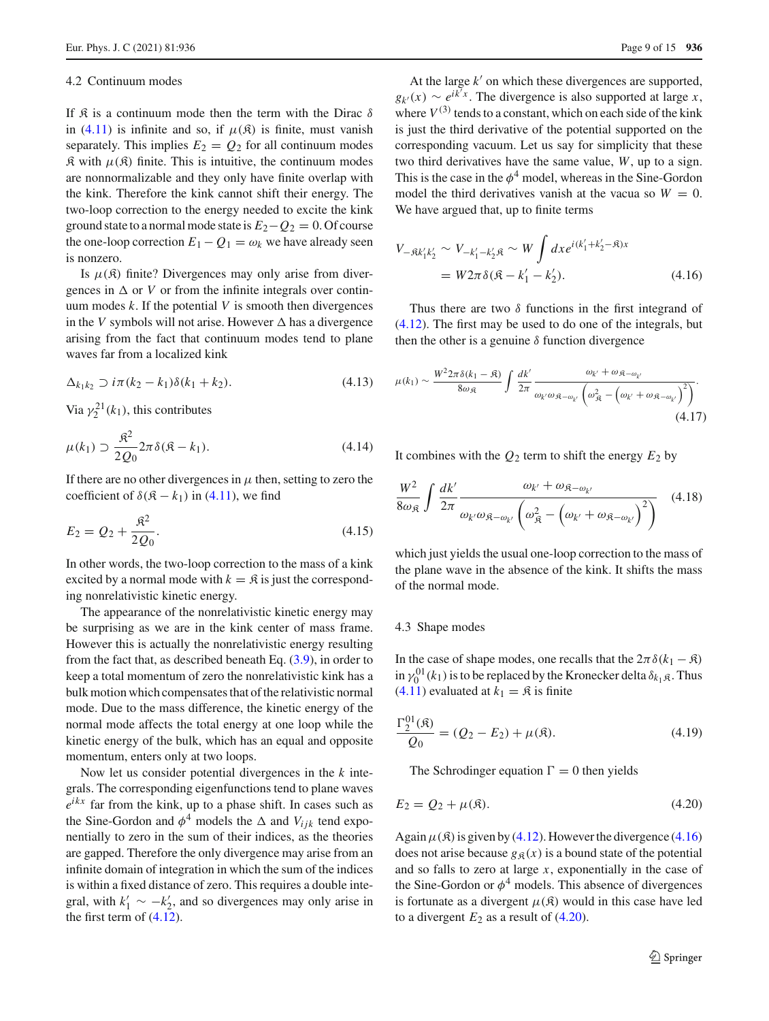#### 4.2 Continuum modes

If  $\mathcal R$  is a continuum mode then the term with the Dirac  $\delta$ in [\(4.11\)](#page-7-1) is infinite and so, if  $\mu(\mathfrak{K})$  is finite, must vanish separately. This implies  $E_2 = Q_2$  for all continuum modes  $\mathfrak K$  with  $\mu(\mathfrak K)$  finite. This is intuitive, the continuum modes are nonnormalizable and they only have finite overlap with the kink. Therefore the kink cannot shift their energy. The two-loop correction to the energy needed to excite the kink ground state to a normal mode state is  $E_2 - Q_2 = 0$ . Of course the one-loop correction  $E_1 - Q_1 = \omega_k$  we have already seen is nonzero.

Is  $\mu(\mathfrak{K})$  finite? Divergences may only arise from divergences in  $\Delta$  or *V* or from the infinite integrals over continuum modes  $k$ . If the potential  $V$  is smooth then divergences in the *V* symbols will not arise. However  $\Delta$  has a divergence arising from the fact that continuum modes tend to plane waves far from a localized kink

$$
\Delta_{k_1k_2} \supset i\pi(k_2 - k_1)\delta(k_1 + k_2). \tag{4.13}
$$

Via  $\gamma_2^{21}(k_1)$ , this contributes

$$
\mu(k_1) \supset \frac{\mathfrak{K}^2}{2Q_0} 2\pi \delta(\mathfrak{K} - k_1). \tag{4.14}
$$

If there are no other divergences in  $\mu$  then, setting to zero the coefficient of  $\delta(\mathfrak{K} - k_1)$  in [\(4.11\)](#page-7-1), we find

$$
E_2 = Q_2 + \frac{\mathfrak{K}^2}{2Q_0}.\tag{4.15}
$$

In other words, the two-loop correction to the mass of a kink excited by a normal mode with  $k = \mathfrak{K}$  is just the corresponding nonrelativistic kinetic energy.

The appearance of the nonrelativistic kinetic energy may be surprising as we are in the kink center of mass frame. However this is actually the nonrelativistic energy resulting from the fact that, as described beneath Eq.  $(3.9)$ , in order to keep a total momentum of zero the nonrelativistic kink has a bulk motion which compensates that of the relativistic normal mode. Due to the mass difference, the kinetic energy of the normal mode affects the total energy at one loop while the kinetic energy of the bulk, which has an equal and opposite momentum, enters only at two loops.

Now let us consider potential divergences in the *k* integrals. The corresponding eigenfunctions tend to plane waves  $e^{ikx}$  far from the kink, up to a phase shift. In cases such as the Sine-Gordon and  $\phi^4$  models the  $\Delta$  and  $V_{ijk}$  tend exponentially to zero in the sum of their indices, as the theories are gapped. Therefore the only divergence may arise from an infinite domain of integration in which the sum of the indices is within a fixed distance of zero. This requires a double integral, with  $k'_1 \sim -k'_2$ , and so divergences may only arise in the first term of  $(4.12)$ .

At the large  $k'$  on which these divergences are supported,  $g_{k'}(x) \sim e^{ik'x}$ . The divergence is also supported at large *x*, where  $V^{(3)}$  tends to a constant, which on each side of the kink is just the third derivative of the potential supported on the corresponding vacuum. Let us say for simplicity that these two third derivatives have the same value, *W*, up to a sign. This is the case in the  $\phi^4$  model, whereas in the Sine-Gordon model the third derivatives vanish at the vacua so  $W = 0$ . We have argued that, up to finite terms

<span id="page-8-0"></span>
$$
V_{-\mathfrak{K}k'_1k'_2} \sim V_{-k'_1 - k'_2 \mathfrak{K}} \sim W \int dx e^{i(k'_1 + k'_2 - \mathfrak{K})x}
$$
  
=  $W 2\pi \delta(\mathfrak{K} - k'_1 - k'_2).$  (4.16)

Thus there are two  $\delta$  functions in the first integrand of [\(4.12\)](#page-7-2). The first may be used to do one of the integrals, but then the other is a genuine  $\delta$  function divergence

$$
\mu(k_1) \sim \frac{W^2 2\pi \delta(k_1 - \mathfrak{K})}{8\omega_{\mathfrak{K}}} \int \frac{dk'}{2\pi} \frac{\omega_{k'} + \omega_{\mathfrak{K} - \omega_{k'}}}{\omega_{k'} \omega_{\mathfrak{K} - \omega_{k'}} \left(\omega_{\mathfrak{K}}^2 - \left(\omega_{k'} + \omega_{\mathfrak{K} - \omega_{k'}}\right)^2\right)}.
$$
\n(4.17)

It combines with the  $Q_2$  term to shift the energy  $E_2$  by

$$
\frac{W^2}{8\omega_{\mathfrak{K}}} \int \frac{dk'}{2\pi} \frac{\omega_{k'} + \omega_{\mathfrak{K} - \omega_{k'}}}{\omega_{k'}\omega_{\mathfrak{K} - \omega_{k'}} \left(\omega_{\mathfrak{K}}^2 - \left(\omega_{k'} + \omega_{\mathfrak{K} - \omega_{k'}}\right)^2\right)} \quad (4.18)
$$

which just yields the usual one-loop correction to the mass of the plane wave in the absence of the kink. It shifts the mass of the normal mode.

## 4.3 Shape modes

In the case of shape modes, one recalls that the  $2\pi \delta(k_1 - \mathfrak{K})$ in  $\gamma_0^{01}(k_1)$  is to be replaced by the Kronecker delta  $\delta_{k_1,\mathfrak{K}}$ . Thus [\(4.11\)](#page-7-1) evaluated at  $k_1 = \mathfrak{K}$  is finite

$$
\frac{\Gamma_2^{01}(\mathfrak{K})}{Q_0} = (Q_2 - E_2) + \mu(\mathfrak{K}).\tag{4.19}
$$

The Schrodinger equation  $\Gamma = 0$  then yields

<span id="page-8-1"></span>
$$
E_2 = Q_2 + \mu(\mathfrak{K}).\tag{4.20}
$$

Again  $\mu(\mathfrak{K})$  is given by [\(4.12\)](#page-7-2). However the divergence [\(4.16\)](#page-8-0) does not arise because  $g_{\mathcal{B}}(x)$  is a bound state of the potential and so falls to zero at large *x*, exponentially in the case of the Sine-Gordon or  $\phi^4$  models. This absence of divergences is fortunate as a divergent  $\mu(\mathfrak{K})$  would in this case have led to a divergent  $E_2$  as a result of  $(4.20)$ .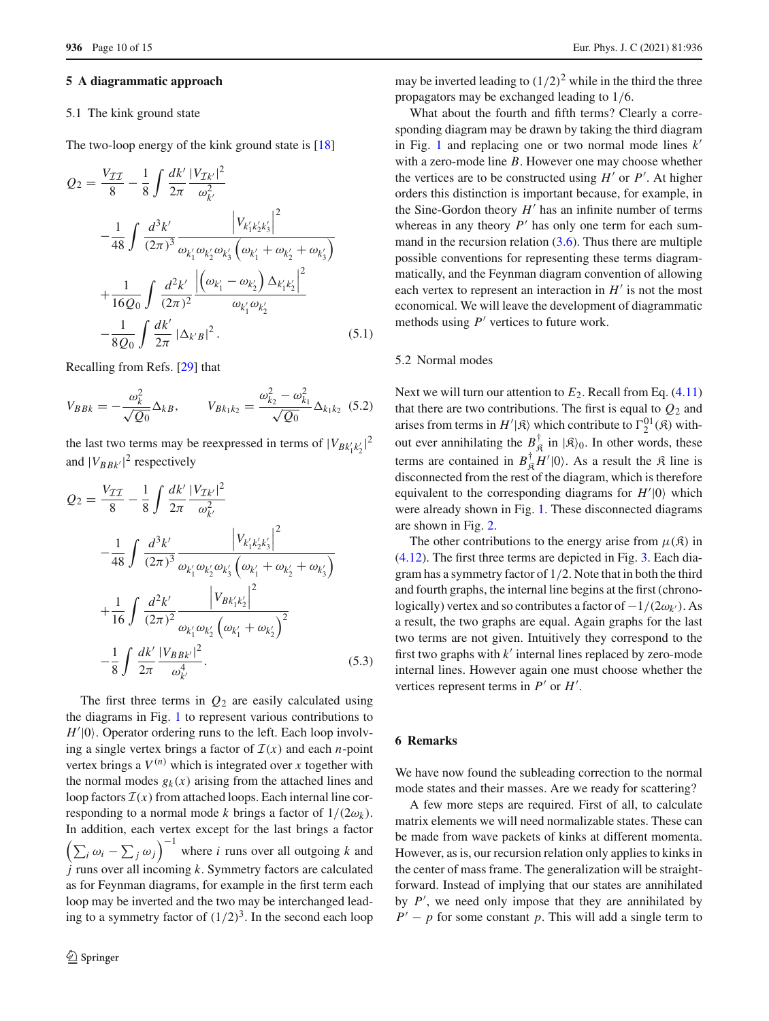#### <span id="page-9-0"></span>**5 A diagrammatic approach**

# 5.1 The kink ground state

The two-loop energy of the kink ground state is [\[18](#page-14-10)]

<span id="page-9-1"></span>
$$
Q_{2} = \frac{V_{\mathcal{II}}}{8} - \frac{1}{8} \int \frac{dk'}{2\pi} \frac{|V_{\mathcal{I}k'}|^{2}}{\omega_{k'}^{2}}
$$

$$
- \frac{1}{48} \int \frac{d^{3}k'}{(2\pi)^{3}} \frac{|V_{k'_{1}k'_{2}k'_{3}}|^{2}}{\omega_{k'_{1}}\omega_{k'_{2}}\omega_{k'_{3}}}\left(\omega_{k'_{1}} + \omega_{k'_{2}} + \omega_{k'_{3}}\right)
$$

$$
+ \frac{1}{16Q_{0}} \int \frac{d^{2}k'}{(2\pi)^{2}} \frac{|(\omega_{k'_{1}} - \omega_{k'_{2}}) \Delta_{k'_{1}k'_{2}}|^{2}}{\omega_{k'_{1}}\omega_{k'_{2}}}
$$

$$
- \frac{1}{8Q_{0}} \int \frac{dk'}{2\pi} |\Delta_{k'B}|^{2}.
$$
(5.1)

Recalling from Refs. [\[29](#page-14-21)] that

$$
V_{BBk} = -\frac{\omega_k^2}{\sqrt{Q_0}} \Delta_{kB}, \qquad V_{Bk_1k_2} = \frac{\omega_{k_2}^2 - \omega_{k_1}^2}{\sqrt{Q_0}} \Delta_{k_1k_2}
$$
(5.2)

the last two terms may be reexpressed in terms of  $|V_{Bk_1'k_2'}|^2$ and  $|V_{BBk'}|^2$  respectively

$$
Q_{2} = \frac{V_{\mathcal{II}}}{8} - \frac{1}{8} \int \frac{dk'}{2\pi} \frac{|V_{\mathcal{I}k'}|^{2}}{\omega_{k'}^{2}}
$$

$$
- \frac{1}{48} \int \frac{d^{3}k'}{(2\pi)^{3}} \frac{|V_{k'_{1}k'_{2}k'_{3}}|^{2}}{\omega_{k'_{1}}\omega_{k'_{2}}\omega_{k'_{3}}}\left(\omega_{k'_{1}} + \omega_{k'_{2}} + \omega_{k'_{3}}\right)
$$

$$
+ \frac{1}{16} \int \frac{d^{2}k'}{(2\pi)^{2}} \frac{|V_{Bk'_{1}k'_{2}}|^{2}}{\omega_{k'_{1}}\omega_{k'_{2}}}\left(\omega_{k'_{1}} + \omega_{k'_{2}}\right)^{2}
$$

$$
- \frac{1}{8} \int \frac{dk'}{2\pi} \frac{|V_{B B k'}|^{2}}{\omega_{k'}^{4}}.
$$
(5.3)

The first three terms in  $Q_2$  are easily calculated using the diagrams in Fig. [1](#page-10-0) to represent various contributions to  $H'|0\rangle$ . Operator ordering runs to the left. Each loop involving a single vertex brings a factor of  $\mathcal{I}(x)$  and each *n*-point vertex brings a  $V^{(n)}$  which is integrated over *x* together with the normal modes  $g_k(x)$  arising from the attached lines and loop factors  $\mathcal{I}(x)$  from attached loops. Each internal line corresponding to a normal mode *k* brings a factor of  $1/(2\omega_k)$ . In addition, each vertex except for the last brings a factor  $\left(\sum_i \omega_i - \sum_j \omega_j\right)^{-1}$  where *i* runs over all outgoing *k* and *j* runs over all incoming *k*. Symmetry factors are calculated as for Feynman diagrams, for example in the first term each loop may be inverted and the two may be interchanged leading to a symmetry factor of  $(1/2)^3$ . In the second each loop may be inverted leading to  $(1/2)^2$  while in the third the three propagators may be exchanged leading to 1/6.

What about the fourth and fifth terms? Clearly a corresponding diagram may be drawn by taking the third diagram in Fig. [1](#page-10-0) and replacing one or two normal mode lines *k* with a zero-mode line *B*. However one may choose whether the vertices are to be constructed using  $H'$  or  $P'$ . At higher orders this distinction is important because, for example, in the Sine-Gordon theory  $H'$  has an infinite number of terms whereas in any theory  $P'$  has only one term for each summand in the recursion relation [\(3.6\)](#page-3-3). Thus there are multiple possible conventions for representing these terms diagrammatically, and the Feynman diagram convention of allowing each vertex to represent an interaction in  $H'$  is not the most economical. We will leave the development of diagrammatic methods using  $P'$  vertices to future work.

## 5.2 Normal modes

Next we will turn our attention to  $E_2$ . Recall from Eq. [\(4.11\)](#page-7-1) that there are two contributions. The first is equal to  $Q_2$  and arises from terms in  $H'|\mathfrak{K}\rangle$  which contribute to  $\Gamma_2^{01}(\mathfrak{K})$  without ever annihilating the  $B_{\mathfrak{K}}^{\dagger}$  in  $|\mathfrak{K}\rangle_0$ . In other words, these terms are contained in  $B_{\hat{\mathcal{R}}}^{\dagger} H' |0\rangle$ . As a result the  $\hat{\mathcal{R}}$  line is disconnected from the rest of the diagram, which is therefore equivalent to the corresponding diagrams for  $H'$  |0 which were already shown in Fig. [1.](#page-10-0) These disconnected diagrams are shown in Fig. [2.](#page-10-1)

The other contributions to the energy arise from  $\mu(\mathfrak{K})$  in [\(4.12\)](#page-7-2). The first three terms are depicted in Fig. [3.](#page-10-2) Each diagram has a symmetry factor of 1/2. Note that in both the third and fourth graphs, the internal line begins at the first (chronologically) vertex and so contributes a factor of  $-1/(2\omega_{k'})$ . As a result, the two graphs are equal. Again graphs for the last two terms are not given. Intuitively they correspond to the first two graphs with  $k'$  internal lines replaced by zero-mode internal lines. However again one must choose whether the vertices represent terms in  $P'$  or  $H'$ .

## **6 Remarks**

We have now found the subleading correction to the normal mode states and their masses. Are we ready for scattering?

A few more steps are required. First of all, to calculate matrix elements we will need normalizable states. These can be made from wave packets of kinks at different momenta. However, as is, our recursion relation only applies to kinks in the center of mass frame. The generalization will be straightforward. Instead of implying that our states are annihilated by  $P'$ , we need only impose that they are annihilated by  $P' - p$  for some constant *p*. This will add a single term to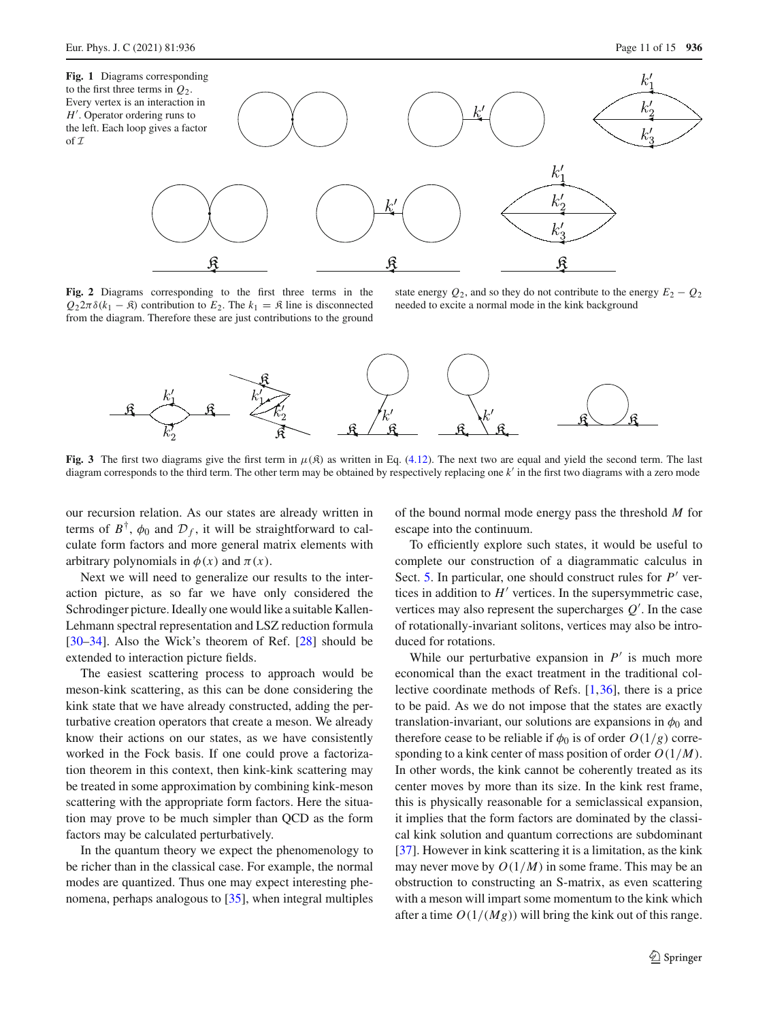of *I*

<span id="page-10-0"></span>

<span id="page-10-1"></span>**Fig. 2** Diagrams corresponding to the first three terms in the  $Q_2 2\pi \delta(k_1 - \mathfrak{K})$  contribution to  $E_2$ . The  $k_1 = \mathfrak{K}$  line is disconnected from the diagram. Therefore these are just contributions to the ground

state energy  $Q_2$ , and so they do not contribute to the energy  $E_2 - Q_2$ needed to excite a normal mode in the kink background



<span id="page-10-2"></span>**Fig. 3** The first two diagrams give the first term in  $\mu(\mathcal{R})$  as written in Eq. [\(4.12\)](#page-7-2). The next two are equal and yield the second term. The last diagram corresponds to the third term. The other term may be obtained by respectively replacing one *k*- in the first two diagrams with a zero mode

our recursion relation. As our states are already written in terms of  $B^{\dagger}$ ,  $\phi_0$  and  $\mathcal{D}_f$ , it will be straightforward to calculate form factors and more general matrix elements with arbitrary polynomials in  $\phi(x)$  and  $\pi(x)$ .

Next we will need to generalize our results to the interaction picture, as so far we have only considered the Schrodinger picture. Ideally one would like a suitable Kallen-Lehmann spectral representation and LSZ reduction formula [\[30](#page-14-22)[–34](#page-14-23)]. Also the Wick's theorem of Ref. [\[28](#page-14-20)] should be extended to interaction picture fields.

The easiest scattering process to approach would be meson-kink scattering, as this can be done considering the kink state that we have already constructed, adding the perturbative creation operators that create a meson. We already know their actions on our states, as we have consistently worked in the Fock basis. If one could prove a factorization theorem in this context, then kink-kink scattering may be treated in some approximation by combining kink-meson scattering with the appropriate form factors. Here the situation may prove to be much simpler than QCD as the form factors may be calculated perturbatively.

In the quantum theory we expect the phenomenology to be richer than in the classical case. For example, the normal modes are quantized. Thus one may expect interesting phenomena, perhaps analogous to [\[35](#page-14-24)], when integral multiples of the bound normal mode energy pass the threshold *M* for escape into the continuum.

To efficiently explore such states, it would be useful to complete our construction of a diagrammatic calculus in Sect. [5.](#page-9-0) In particular, one should construct rules for *P*<sup>*'*</sup> vertices in addition to  $H'$  vertices. In the supersymmetric case, vertices may also represent the supercharges  $Q'$ . In the case of rotationally-invariant solitons, vertices may also be introduced for rotations.

While our perturbative expansion in  $P'$  is much more economical than the exact treatment in the traditional collective coordinate methods of Refs. [\[1,](#page-13-0)[36\]](#page-14-25), there is a price to be paid. As we do not impose that the states are exactly translation-invariant, our solutions are expansions in  $\phi_0$  and therefore cease to be reliable if  $\phi_0$  is of order  $O(1/g)$  corresponding to a kink center of mass position of order *O*(1/*M*). In other words, the kink cannot be coherently treated as its center moves by more than its size. In the kink rest frame, this is physically reasonable for a semiclassical expansion, it implies that the form factors are dominated by the classical kink solution and quantum corrections are subdominant [\[37](#page-14-26)]. However in kink scattering it is a limitation, as the kink may never move by  $O(1/M)$  in some frame. This may be an obstruction to constructing an S-matrix, as even scattering with a meson will impart some momentum to the kink which after a time  $O(1/(Mg))$  will bring the kink out of this range.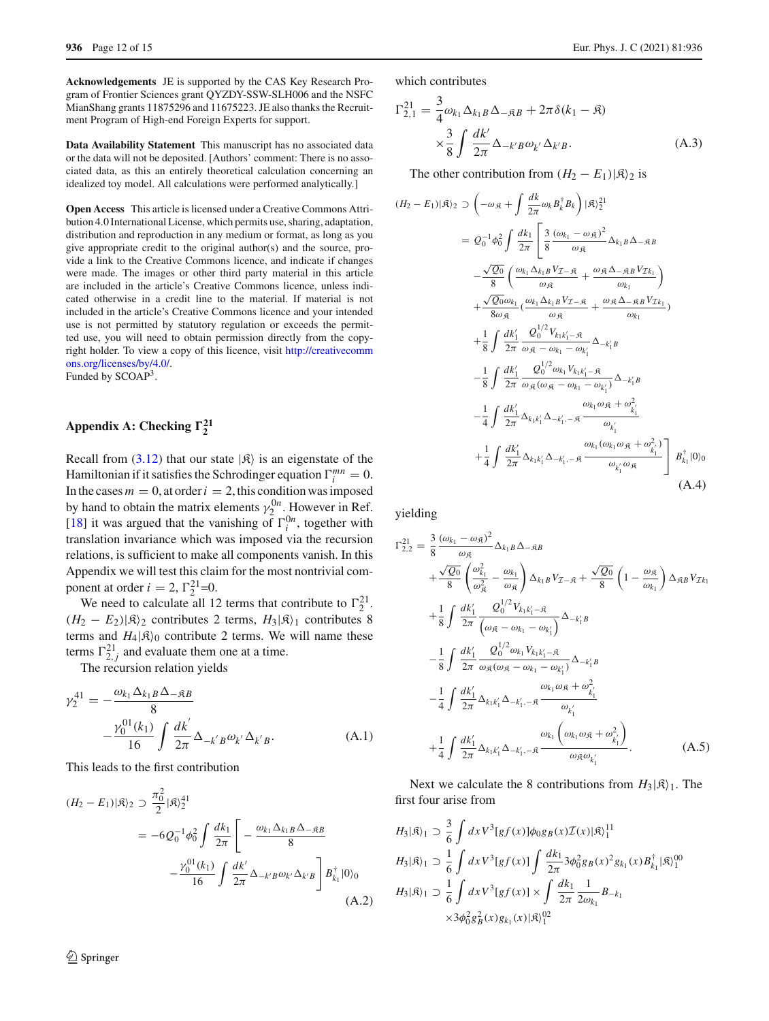**Acknowledgements** JE is supported by the CAS Key Research Program of Frontier Sciences grant QYZDY-SSW-SLH006 and the NSFC MianShang grants 11875296 and 11675223. JE also thanks the Recruitment Program of High-end Foreign Experts for support.

**Data Availability Statement** This manuscript has no associated data or the data will not be deposited. [Authors' comment: There is no associated data, as this an entirely theoretical calculation concerning an idealized toy model. All calculations were performed analytically.]

**Open Access** This article is licensed under a Creative Commons Attribution 4.0 International License, which permits use, sharing, adaptation, distribution and reproduction in any medium or format, as long as you give appropriate credit to the original author(s) and the source, provide a link to the Creative Commons licence, and indicate if changes were made. The images or other third party material in this article are included in the article's Creative Commons licence, unless indicated otherwise in a credit line to the material. If material is not included in the article's Creative Commons licence and your intended use is not permitted by statutory regulation or exceeds the permitted use, you will need to obtain permission directly from the copyright holder. To view a copy of this licence, visit [http://creativecomm](http://creativecommons.org/licenses/by/4.0/) [ons.org/licenses/by/4.0/.](http://creativecommons.org/licenses/by/4.0/) Funded by SCOAP<sup>3</sup>.

# <span id="page-11-0"></span>**Appendix A: Checking**  $\Gamma_2^{21}$

Recall from [\(3.12\)](#page-4-3) that our state  $|\mathfrak{K}\rangle$  is an eigenstate of the Hamiltonian if it satisfies the Schrodinger equation  $\Gamma_i^{mn} = 0$ . In the cases  $m = 0$ , at order  $i = 2$ , this condition was imposed by hand to obtain the matrix elements  $\gamma_2^{0n}$ . However in Ref. [\[18](#page-14-10)] it was argued that the vanishing of  $\Gamma_i^{0n}$ , together with translation invariance which was imposed via the recursion relations, is sufficient to make all components vanish. In this Appendix we will test this claim for the most nontrivial component at order  $i = 2$ ,  $\Gamma_2^{21} = 0$ .

We need to calculate all 12 terms that contribute to  $\Gamma_2^{21}$ .  $(H_2 - E_2)|\mathcal{R}\rangle_2$  contributes 2 terms,  $H_3|\mathcal{R}\rangle_1$  contributes 8 terms and  $H_4|\mathfrak{K}\rangle_0$  contribute 2 terms. We will name these terms  $\Gamma_{2,j}^{21}$  and evaluate them one at a time.

The recursion relation yields

$$
\gamma_2^{41} = -\frac{\omega_{k_1} \Delta_{k_1 B} \Delta_{-\mathfrak{R}B}}{8} -\frac{\gamma_0^{01}(k_1)}{16} \int \frac{dk'}{2\pi} \Delta_{-k'B} \omega_{k'} \Delta_{k'B}.
$$
 (A.1)

This leads to the first contribution

$$
(H_2 - E_1)|\mathfrak{K}\rangle_2 \supset \frac{\pi_0^2}{2} |\mathfrak{K}\rangle_2^{41}
$$
  
=  $-6Q_0^{-1}\phi_0^2 \int \frac{dk_1}{2\pi} \left[ -\frac{\omega_{k_1} \Delta_{k_1 B} \Delta_{-\mathfrak{K}B}}{8} -\frac{\gamma_0^{01}(k_1)}{16} \int \frac{dk'}{2\pi} \Delta_{-k'B} \omega_{k'} \Delta_{k'B} \right] B_{k_1}^{\dagger} |0\rangle_0$   
(A.2)

which contributes

$$
\Gamma_{2,1}^{21} = \frac{3}{4} \omega_{k_1} \Delta_{k_1 B} \Delta_{-\mathfrak{R}B} + 2\pi \delta(k_1 - \mathfrak{K})
$$

$$
\times \frac{3}{8} \int \frac{dk'}{2\pi} \Delta_{-k'B} \omega_{k'} \Delta_{k'B}.
$$
 (A.3)

The other contribution from  $(H_2 - E_1)|\mathfrak{K}\rangle_2$  is

$$
(H_2 - E_1)|\mathfrak{K}\rangle_2 \supset \left(-\omega_{\mathfrak{K}} + \int \frac{dk}{2\pi} \omega_k B_k^{\dagger} B_k\right) |\mathfrak{K}\rangle_2^{21}
$$
  
\n
$$
= Q_0^{-1} \phi_0^2 \int \frac{dk_1}{2\pi} \left[ \frac{3}{8} \frac{(\omega_{k_1} - \omega_{\mathfrak{K}})^2}{\omega_{\mathfrak{K}}} \Delta_{k_1 B} \Delta_{-\mathfrak{K} B} \right. \\ \left. - \frac{\sqrt{Q_0}}{8} \left( \frac{\omega_{k_1} \Delta_{k_1 B} V_{\mathcal{I} - \mathfrak{K}}}{\omega_{\mathfrak{K}}} + \frac{\omega_{\mathfrak{K}} \Delta_{-\mathfrak{K} B} V_{\mathcal{I} k_1}}{\omega_{k_1}} \right) \right. \\ \left. + \frac{\sqrt{Q_0} \omega_{k_1}}{8 \omega_{\mathfrak{K}}} \left( \frac{\omega_{k_1} \Delta_{k_1 B} V_{\mathcal{I} - \mathfrak{K}}}{\omega_{\mathfrak{K}}} + \frac{\omega_{\mathfrak{K}} \Delta_{-\mathfrak{K} B} V_{\mathcal{I} k_1}}{\omega_{k_1}} \right) \right. \\ \left. + \frac{1}{8} \int \frac{dk'_1}{2\pi} \frac{Q_0^{1/2} V_{k_1 k'_1 - \mathfrak{K}}}{\omega_{\mathfrak{K}} - \omega_{k_1} - \omega_{k'_1}} \Delta_{-k'_1 B} \right. \\ \left. - \frac{1}{8} \int \frac{dk'_1}{2\pi} \frac{Q_0^{1/2} \omega_{k_1} V_{k_1 k'_1 - \mathfrak{K}}}{\omega_{\mathfrak{K}} (\omega_{\mathfrak{K}} - \omega_{k_1} - \omega_{k'_1})} \Delta_{-k'_1 B} \right. \\ \left. - \frac{1}{4} \int \frac{dk'_1}{2\pi} \Delta_{k_1 k'_1} \Delta_{-k'_1, -\mathfrak{K}} \frac{\omega_{k_1} \omega_{\mathfrak{K}} + \omega_{\mathfrak{K}}^2}{\omega_{k'_1} \omega_{\mathfrak{K}}} + \frac{1}{4} \int \frac{dk'_1}{2\pi} \Delta_{k_1 k'_1} \Delta_{-
$$

yielding

$$
\Gamma_{2,2}^{21} = \frac{3}{8} \frac{(\omega_{k_1} - \omega_{\mathfrak{K}})^2}{\omega_{\mathfrak{K}}} \Delta_{k_1 B} \Delta_{-\mathfrak{K} B} \n+ \frac{\sqrt{Q_0}}{8} \left( \frac{\omega_{k_1}^2}{\omega_{\mathfrak{K}}^2} - \frac{\omega_{k_1}}{\omega_{\mathfrak{K}}} \right) \Delta_{k_1 B} V_{\mathcal{I} - \mathfrak{K}} + \frac{\sqrt{Q_0}}{8} \left( 1 - \frac{\omega_{\mathfrak{K}}}{\omega_{k_1}} \right) \Delta_{\mathfrak{K} B} V_{\mathcal{I} k_1} \n+ \frac{1}{8} \int \frac{dk_1'}{2\pi} \frac{Q_0^{1/2} V_{k_1 k_1' - \mathfrak{K}}}{(\omega_{\mathfrak{K}} - \omega_{k_1} - \omega_{k_1'})} \Delta_{-k_1' B} \n- \frac{1}{8} \int \frac{dk_1'}{2\pi} \frac{Q_0^{1/2} \omega_{k_1} V_{k_1 k_1' - \mathfrak{K}}}{\omega_{\mathfrak{K}} (\omega_{\mathfrak{K}} - \omega_{k_1} - \omega_{k_1'})} \Delta_{-k_1' B} \n- \frac{1}{4} \int \frac{dk_1'}{2\pi} \Delta_{k_1 k_1'} \Delta_{-k_1', -\mathfrak{K}} \frac{\omega_{k_1} \omega_{\mathfrak{K}} + \omega_{k_1'}^2}{\omega_{k_1'}} \n+ \frac{1}{4} \int \frac{dk_1'}{2\pi} \Delta_{k_1 k_1'} \Delta_{-k_1', -\mathfrak{K}} \frac{\omega_{k_1} \left( \omega_{k_1} \omega_{\mathfrak{K}} + \omega_{k_1'}^2 \right)}{\omega_{\mathfrak{K}} \omega_{k_1'}}.
$$
\n(A.5)

Next we calculate the 8 contributions from  $H_3|\mathfrak{K}\rangle_1$ . The first four arise from

$$
H_3|\mathfrak{K}\rangle_1 \supset \frac{3}{6} \int dx V^3[gf(x)]\phi_0 g_B(x) \mathcal{I}(x) |\mathfrak{K}\rangle_1^{11}
$$
  
\n
$$
H_3|\mathfrak{K}\rangle_1 \supset \frac{1}{6} \int dx V^3[gf(x)] \int \frac{dk_1}{2\pi} 3\phi_0^2 g_B(x)^2 g_{k_1}(x) B_{k_1}^{\dagger} |\mathfrak{K}\rangle_1^{00}
$$
  
\n
$$
H_3|\mathfrak{K}\rangle_1 \supset \frac{1}{6} \int dx V^3[gf(x)] \times \int \frac{dk_1}{2\pi} \frac{1}{2\omega_{k_1}} B_{-k_1}
$$
  
\n
$$
\times 3\phi_0^2 g_B^2(x) g_{k_1}(x) |\mathfrak{K}\rangle_1^{02}
$$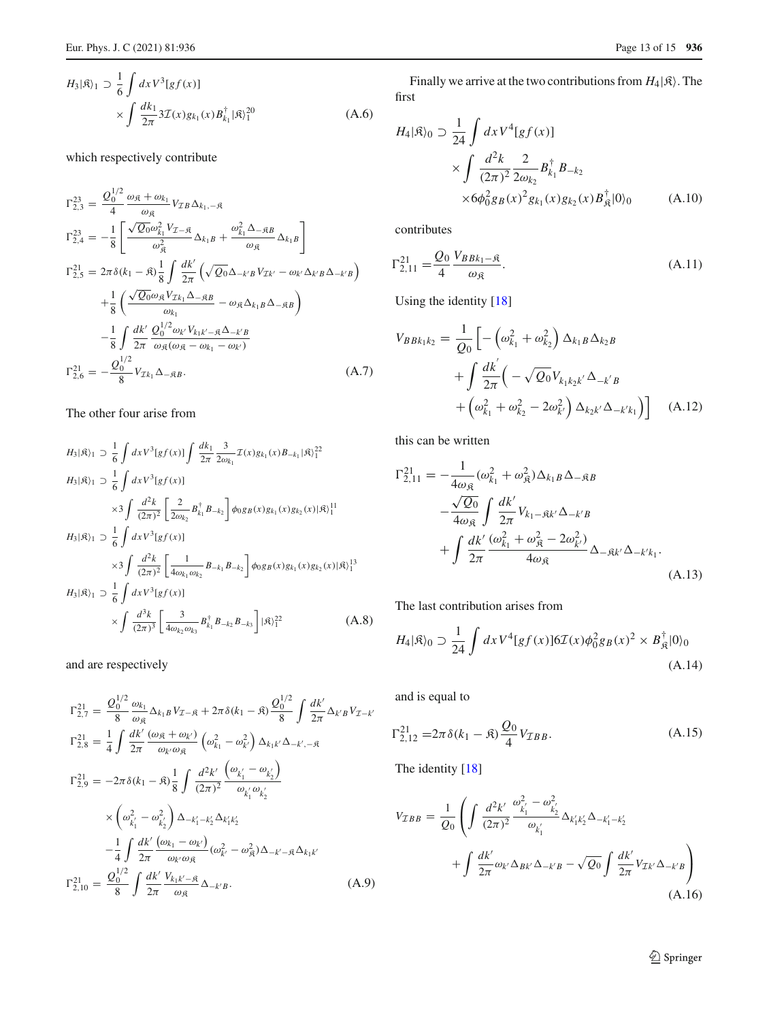which respectively contribute

$$
\Gamma_{2,3}^{23} = \frac{Q_0^{1/2}}{4} \frac{\omega_{\mathfrak{K}} + \omega_{k_1}}{\omega_{\mathfrak{K}}} V_{\mathcal{I}B} \Delta_{k_1, -\mathfrak{K}}
$$
  
\n
$$
\Gamma_{2,4}^{23} = -\frac{1}{8} \left[ \frac{\sqrt{Q_0} \omega_{k_1}^2 V_{\mathcal{I} - \mathfrak{K}}}{\omega_{\mathfrak{K}}} \Delta_{k_1 B} + \frac{\omega_{k_1}^2 \Delta - \mathfrak{K}B}{\omega_{\mathfrak{K}}} \Delta_{k_1 B} \right]
$$
  
\n
$$
\Gamma_{2,5}^{21} = 2\pi \delta (k_1 - \mathfrak{K}) \frac{1}{8} \int \frac{dk'}{2\pi} \left( \sqrt{Q_0} \Delta_{-k'B} V_{\mathcal{I}k'} - \omega_{k'} \Delta_{k'B} \Delta_{-k'B} \right)
$$
  
\n
$$
+ \frac{1}{8} \left( \frac{\sqrt{Q_0} \omega_{\mathfrak{K}} V_{\mathcal{I}k_1} \Delta_{-\mathfrak{K}B}}{\omega_{k_1}} - \omega_{\mathfrak{K}} \Delta_{k_1 B} \Delta_{-\mathfrak{K}B} \right)
$$
  
\n
$$
- \frac{1}{8} \int \frac{dk'}{2\pi} \frac{Q_0^{1/2} \omega_{k'} V_{k_1 k' - \mathfrak{K}} \Delta_{-k'B}}{\omega_{\mathfrak{K}} (\omega_{\mathfrak{K}} - \omega_{k_1} - \omega_{k'})}
$$
  
\n
$$
\Gamma_{2,6}^{21} = -\frac{Q_0^{1/2}}{8} V_{\mathcal{I}k_1} \Delta_{-\mathfrak{K}B}.
$$
 (A.7)

# The other four arise from

$$
H_{3}|\mathfrak{K}\rangle_{1} \supset \frac{1}{6} \int dx V^{3}[gf(x)] \int \frac{dk_{1}}{2\pi} \frac{3}{2\omega_{k_{1}}} \mathcal{I}(x)g_{k_{1}}(x)B_{-k_{1}}|\mathfrak{K}\rangle_{1}^{22}
$$
  
\n
$$
H_{3}|\mathfrak{K}\rangle_{1} \supset \frac{1}{6} \int dx V^{3}[gf(x)]
$$
  
\n
$$
\times 3 \int \frac{d^{2}k}{(2\pi)^{2}} \left[ \frac{2}{2\omega_{k_{2}}} B_{k_{1}}^{\dagger} B_{-k_{2}} \right] \phi_{0}g_{B}(x)g_{k_{1}}(x)g_{k_{2}}(x)|\mathfrak{K}\rangle_{1}^{11}
$$
  
\n
$$
H_{3}|\mathfrak{K}\rangle_{1} \supset \frac{1}{6} \int dx V^{3}[gf(x)]
$$
  
\n
$$
\times 3 \int \frac{d^{2}k}{(2\pi)^{2}} \left[ \frac{1}{4\omega_{k_{1}}\omega_{k_{2}}} B_{-k_{1}} B_{-k_{2}} \right] \phi_{0}g_{B}(x)g_{k_{1}}(x)g_{k_{2}}(x)|\mathfrak{K}\rangle_{1}^{13}
$$
  
\n
$$
H_{3}|\mathfrak{K}\rangle_{1} \supset \frac{1}{6} \int dx V^{3}[gf(x)]
$$
  
\n
$$
\times \int \frac{d^{3}k}{(2\pi)^{3}} \left[ \frac{3}{4\omega_{k_{2}}\omega_{k_{3}}} B_{k_{1}}^{\dagger} B_{-k_{2}} B_{-k_{3}} \right] |\mathfrak{K}\rangle_{1}^{22}
$$
  
\n(A.8)

and are respectively

$$
\Gamma_{2,7}^{21} = \frac{Q_0^{1/2}}{8} \frac{\omega_{k_1}}{\omega_{\mathfrak{K}}} \Delta_{k_1B} V_{\mathcal{I}-\mathfrak{K}} + 2\pi \delta(k_1 - \mathfrak{K}) \frac{Q_0^{1/2}}{8} \int \frac{dk'}{2\pi} \Delta_{k'B} V_{\mathcal{I}-k'}
$$
  
\n
$$
\Gamma_{2,8}^{21} = \frac{1}{4} \int \frac{dk'}{2\pi} \frac{(\omega_{\mathfrak{K}} + \omega_{k'})}{\omega_{k'} \omega_{\mathfrak{K}}} (\omega_{k_1}^2 - \omega_{k'}^2) \Delta_{k_1k'} \Delta_{-k', -\mathfrak{K}}
$$
  
\n
$$
\Gamma_{2,9}^{21} = -2\pi \delta(k_1 - \mathfrak{K}) \frac{1}{8} \int \frac{d^2k'}{(2\pi)^2} \frac{(\omega_{k_1'} - \omega_{k_2'})}{\omega_{k_1'} \omega_{k_2'}}
$$
  
\n
$$
\times (\omega_{k_1'}^2 - \omega_{k_2'}^2) \Delta_{-k_1'-k_2'} \Delta_{k_1'k_2'}
$$
  
\n
$$
-\frac{1}{4} \int \frac{dk'}{2\pi} \frac{(\omega_{k_1} - \omega_{k'})}{\omega_{k'} \omega_{\mathfrak{K}}} (\omega_{k'}^2 - \omega_{\mathfrak{K}}^2) \Delta_{-k'-\mathfrak{K}} \Delta_{k_1k'}
$$
  
\n
$$
\Gamma_{2,10}^{21} = \frac{Q_0^{1/2}}{8} \int \frac{dk'}{2\pi} \frac{V_{k_1k'-\mathfrak{K}}}{\omega_{\mathfrak{K}}} \Delta_{-k'B}.
$$
 (A.9)

Finally we arrive at the two contributions from  $H_4|\mathfrak{K}$ . The first

$$
H_4|\mathfrak{K}\rangle_0 \supset \frac{1}{24} \int dx V^4 [gf(x)]
$$
  
\$\times \int \frac{d^2k}{(2\pi)^2} \frac{2}{2\omega\_{k\_2}} B\_{k\_1}^{\dagger} B\_{-k\_2}\$  
\$\times 6\phi\_0^2 g\_B(x)^2 g\_{k\_1}(x) g\_{k\_2}(x) B\_{\mathfrak{K}}^{\dagger} |0\rangle\_0\$ (A.10)

contributes

$$
\Gamma_{2,11}^{21} = \frac{Q_0}{4} \frac{V_{BBk_1 - \mathfrak{K}}}{\omega_{\mathfrak{K}}}.
$$
\n(A.11)

Using the identity [\[18](#page-14-10)]

$$
V_{BBk_1k_2} = \frac{1}{Q_0} \left[ -\left(\omega_{k_1}^2 + \omega_{k_2}^2\right) \Delta_{k_1B} \Delta_{k_2B} + \int \frac{dk'}{2\pi} \left( -\sqrt{Q_0} V_{k_1k_2k'} \Delta_{-k'B} + \left(\omega_{k_1}^2 + \omega_{k_2}^2 - 2\omega_{k'}^2\right) \Delta_{k_2k'} \Delta_{-k'k_1} \right) \right]
$$
(A.12)

this can be written

$$
\Gamma_{2,11}^{21} = -\frac{1}{4\omega_{\mathfrak{K}}} (\omega_{k_1}^2 + \omega_{\mathfrak{K}}^2) \Delta_{k_1B} \Delta_{-\mathfrak{K}B}
$$

$$
-\frac{\sqrt{Q_0}}{4\omega_{\mathfrak{K}}} \int \frac{dk'}{2\pi} V_{k_1-\mathfrak{K}k'} \Delta_{-k'B}
$$

$$
+\int \frac{dk'}{2\pi} \frac{(\omega_{k_1}^2 + \omega_{\mathfrak{K}}^2 - 2\omega_{k'}^2)}{4\omega_{\mathfrak{K}}} \Delta_{-\mathfrak{K}k'} \Delta_{-k'k_1}.
$$
(A.13)

The last contribution arises from

$$
H_4|\mathfrak{K}\rangle_0 \supset \frac{1}{24} \int dx V^4 [gf(x)] 6\mathcal{I}(x) \phi_0^2 g_B(x)^2 \times B_{\mathfrak{K}}^{\dagger} |0\rangle_0
$$
\n(A.14)

and is equal to

$$
\Gamma_{2,12}^{21} = 2\pi \delta (k_1 - \mathfrak{K}) \frac{Q_0}{4} V_{\mathcal{I}BB}.
$$
 (A.15)

The identity [\[18](#page-14-10)]

$$
V_{TBB} = \frac{1}{Q_0} \left( \int \frac{d^2 k'}{(2\pi)^2} \frac{\omega_{k'_1}^2 - \omega_{k'_2}^2}{\omega_{k'_1}} \Delta_{k'_1 k'_2} \Delta_{-k'_1 - k'_2} + \int \frac{dk'}{2\pi} \omega_{k'} \Delta_{Bk'} \Delta_{-k'B} - \sqrt{Q_0} \int \frac{dk'}{2\pi} V_{Tk'} \Delta_{-k'B} \right) \tag{A.16}
$$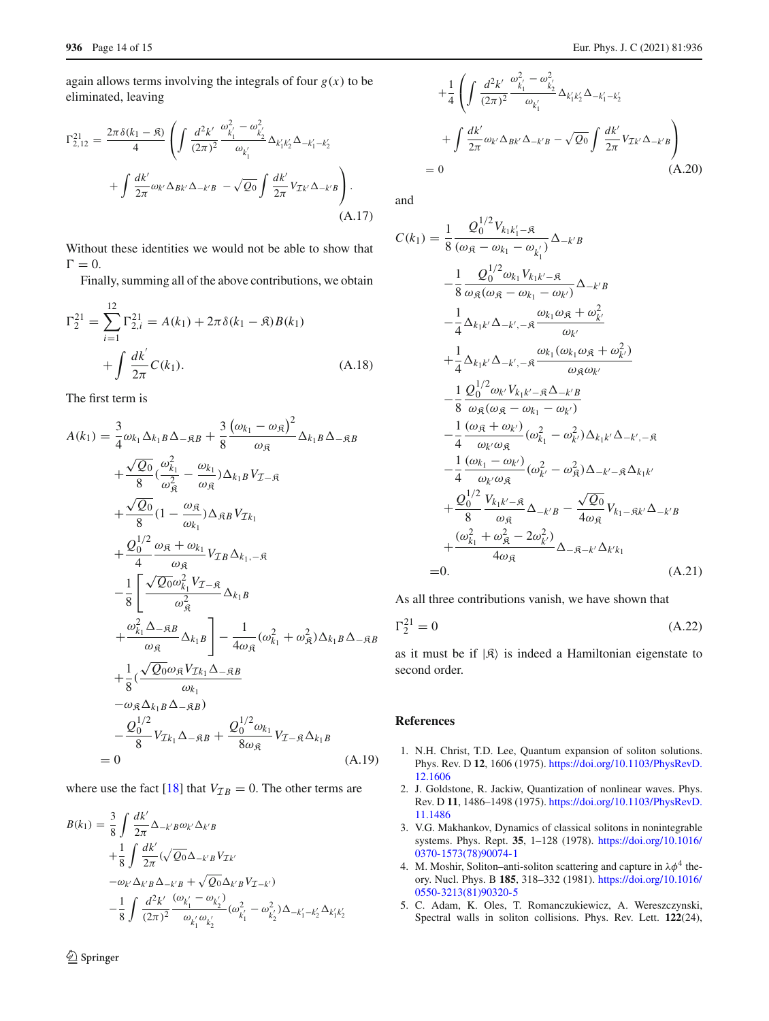again allows terms involving the integrals of four  $g(x)$  to be eliminated, leaving

$$
\Gamma_{2,12}^{21} = \frac{2\pi\delta(k_1 - \mathfrak{K})}{4} \left( \int \frac{d^2k'}{(2\pi)^2} \frac{\omega_{k_1'}^2 - \omega_{k_2'}^2}{\omega_{k_1'}} \Delta_{k_1'k_2'} \Delta_{-k_1'-k_2'} + \int \frac{dk'}{2\pi} \omega_{k'} \Delta_{BK'} \Delta_{-k'B} - \sqrt{Q_0} \int \frac{dk'}{2\pi} V_{\mathcal{I}k'} \Delta_{-k'B} \right).
$$
\n(A.17)

Without these identities we would not be able to show that  $\Gamma = 0.$ 

Finally, summing all of the above contributions, we obtain

$$
\Gamma_2^{21} = \sum_{i=1}^{12} \Gamma_{2,i}^{21} = A(k_1) + 2\pi \delta(k_1 - \mathfrak{K}) B(k_1)
$$

$$
+ \int \frac{dk'}{2\pi} C(k_1).
$$
 (A.18)

The first term is

$$
A(k_1) = \frac{3}{4}\omega_{k_1}\Delta_{k_1B}\Delta_{-\mathfrak{R}B} + \frac{3}{8}\frac{(\omega_{k_1} - \omega_{\mathfrak{R}})^2}{\omega_{\mathfrak{R}}}\Delta_{k_1B}\Delta_{-\mathfrak{R}B}
$$
  
+  $\frac{\sqrt{Q_0}}{8}(\frac{\omega_{k_1}^2}{\omega_{\mathfrak{R}}^2} - \frac{\omega_{k_1}}{\omega_{\mathfrak{R}}})\Delta_{k_1B}V_{\mathcal{I}-\mathfrak{R}}$   
+  $\frac{\sqrt{Q_0}}{8}(1 - \frac{\omega_{\mathfrak{R}}}{\omega_{k_1}})\Delta_{\mathfrak{R}B}V_{\mathcal{I}k_1}$   
+  $\frac{Q_0^{1/2}}{4}\frac{\omega_{\mathfrak{R}} + \omega_{k_1}}{\omega_{\mathfrak{R}}}V_{\mathcal{I}B}\Delta_{k_1,-\mathfrak{R}}$   
-  $\frac{1}{8}\left[\frac{\sqrt{Q_0}\omega_{k_1}^2V_{\mathcal{I}-\mathfrak{R}}}{\omega_{\mathfrak{R}}^2}\Delta_{k_1B}\right]$   
+  $\frac{\omega_{k_1}^2\Delta_{-\mathfrak{R}B}}{\omega_{\mathfrak{R}}}\Delta_{k_1B}\right] - \frac{1}{4\omega_{\mathfrak{R}}}(\omega_{k_1}^2 + \omega_{\mathfrak{R}}^2)\Delta_{k_1B}\Delta_{-\mathfrak{R}B}$   
+  $\frac{1}{8}(\frac{\sqrt{Q_0}\omega_{\mathfrak{R}}V_{\mathcal{I}k_1}\Delta_{-\mathfrak{R}B}}{\omega_{k_1}}$   
-  $\omega_{\mathfrak{R}}\Delta_{k_1B}\Delta_{-\mathfrak{R}B})$   
-  $\frac{Q_0^{1/2}}{8}V_{\mathcal{I}k_1}\Delta_{-\mathfrak{R}B} + \frac{Q_0^{1/2}\omega_{k_1}}{8\omega_{\mathfrak{R}}}V_{\mathcal{I}-\mathfrak{R}}\Delta_{k_1B}$   
= 0 (A.19)

where use the fact [\[18\]](#page-14-10) that  $V_{\mathcal{I}B} = 0$ . The other terms are

$$
B(k_1) = \frac{3}{8} \int \frac{dk'}{2\pi} \Delta_{-k'B} \omega_{k'} \Delta_{k'B}
$$
  
+  $\frac{1}{8} \int \frac{dk'}{2\pi} (\sqrt{Q_0} \Delta_{-k'B} V_{\mathcal{I}k'}$   
-  $\omega_{k'} \Delta_{k'B} \Delta_{-k'B} + \sqrt{Q_0} \Delta_{k'B} V_{\mathcal{I}-k'}$ )  
-  $\frac{1}{8} \int \frac{d^2k'}{(2\pi)^2} \frac{(\omega_{k'_1} - \omega_{k'_2})}{\omega_{k'_1} \omega_{k'_2}} (\omega_{k'_1}^2 - \omega_{k'_2}^2) \Delta_{-k'_1 - k'_2} \Delta_{k'_1 k'_2}$ 

$$
+\frac{1}{4}\left(\int \frac{d^2k'}{(2\pi)^2} \frac{\omega_{k'_1}^2 - \omega_{k'_2}^2}{\omega_{k'_1}} \Delta_{k'_1k'_2} \Delta_{-k'_1-k'_2} + \int \frac{dk'}{2\pi} \omega_{k'} \Delta_{Bk'} \Delta_{-k'B} - \sqrt{Q_0} \int \frac{dk'}{2\pi} V_{\mathcal{I}k'} \Delta_{-k'B}\right)
$$
  
= 0 (A.20)

and

$$
C(k_1) = \frac{1}{8} \frac{Q_0^{1/2} V_{k_1 k_1' - \mathfrak{K}}}{(\omega_{\mathfrak{K}} - \omega_{k_1} - \omega_{k_1'})} \Delta_{-k'B}
$$
  
\n
$$
- \frac{1}{8} \frac{Q_0^{1/2} \omega_{k_1} V_{k_1 k' - \mathfrak{K}}}{\omega_{\mathfrak{K}} (\omega_{\mathfrak{K}} - \omega_{k_1} - \omega_{k'})} \Delta_{-k'B}
$$
  
\n
$$
- \frac{1}{4} \Delta_{k_1 k'} \Delta_{-k', -\mathfrak{K}} \frac{\omega_{k_1} \omega_{\mathfrak{K}} + \omega_{k'}^2}{\omega_{k'}}
$$
  
\n
$$
+ \frac{1}{4} \Delta_{k_1 k'} \Delta_{-k', -\mathfrak{K}} \frac{\omega_{k_1} (\omega_{k_1} \omega_{\mathfrak{K}} + \omega_{k'}^2)}{\omega_{\mathfrak{K}} \omega_{k'}}
$$
  
\n
$$
- \frac{1}{8} \frac{Q_0^{1/2} \omega_{k'} V_{k_1 k' - \mathfrak{K}} \Delta_{-k'B}}{\omega_{\mathfrak{K}} (\omega_{\mathfrak{K}} - \omega_{k_1} - \omega_{k'})}
$$
  
\n
$$
- \frac{1}{4} \frac{(\omega_{\mathfrak{K}} + \omega_{k'})}{\omega_{k'} \omega_{\mathfrak{K}}} (\omega_{k_1}^2 - \omega_{k'}^2) \Delta_{k_1 k'} \Delta_{-k', -\mathfrak{K}}
$$
  
\n
$$
- \frac{1}{4} \frac{(\omega_{k_1} - \omega_{k'})}{\omega_{k'} \omega_{\mathfrak{K}}} (\omega_{k'}^2 - \omega_{\mathfrak{K}}^2) \Delta_{-k'-\mathfrak{K}} \Delta_{k_1 k'}
$$
  
\n
$$
+ \frac{Q_0^{1/2} V_{k_1 k' - \mathfrak{K}}}{8} \Delta_{-k'B} - \frac{\sqrt{Q_0}}{4 \omega_{\mathfrak{K}}} V_{k_1 - \mathfrak{K}k'} \Delta_{-k'B}
$$
  
\n
$$
+ \frac{(\omega_{k_1}^2 + \omega_{\mathfrak{K}}^2 - 2\omega_{k'}^2)}{
$$

As all three contributions vanish, we have shown that

$$
\Gamma_2^{21} = 0\tag{A.22}
$$

as it must be if  $|\mathfrak{K}\rangle$  is indeed a Hamiltonian eigenstate to second order.

## **References**

- <span id="page-13-0"></span>1. N.H. Christ, T.D. Lee, Quantum expansion of soliton solutions. Phys. Rev. D **12**, 1606 (1975). [https://doi.org/10.1103/PhysRevD.](https://doi.org/10.1103/PhysRevD.12.1606) [12.1606](https://doi.org/10.1103/PhysRevD.12.1606)
- <span id="page-13-1"></span>2. J. Goldstone, R. Jackiw, Quantization of nonlinear waves. Phys. Rev. D **11**, 1486–1498 (1975). [https://doi.org/10.1103/PhysRevD.](https://doi.org/10.1103/PhysRevD.11.1486) [11.1486](https://doi.org/10.1103/PhysRevD.11.1486)
- <span id="page-13-2"></span>3. V.G. Makhankov, Dynamics of classical solitons in nonintegrable systems. Phys. Rept. **35**, 1–128 (1978). [https://doi.org/10.1016/](https://doi.org/10.1016/0370-1573(78)90074-1) [0370-1573\(78\)90074-1](https://doi.org/10.1016/0370-1573(78)90074-1)
- 4. M. Moshir, Soliton–anti-soliton scattering and capture in  $\lambda \phi^4$  theory. Nucl. Phys. B **185**, 318–332 (1981). [https://doi.org/10.1016/](https://doi.org/10.1016/0550-3213(81)90320-5) [0550-3213\(81\)90320-5](https://doi.org/10.1016/0550-3213(81)90320-5)
- <span id="page-13-3"></span>5. C. Adam, K. Oles, T. Romanczukiewicz, A. Wereszczynski, Spectral walls in soliton collisions. Phys. Rev. Lett. **122**(24),